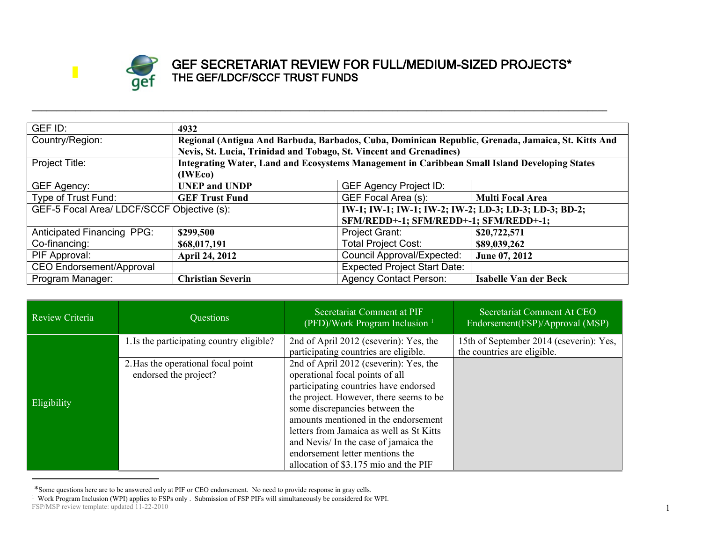

## **GEF SECRETARIAT REVIEW FOR FULL/MEDIUM-SIZED PROJECTS\* THE GEF/LDCF/SCCF TRUST FUNDS**

| GEF ID:                                    | 4932                                                                                          |                                                                                                    |                              |  |  |
|--------------------------------------------|-----------------------------------------------------------------------------------------------|----------------------------------------------------------------------------------------------------|------------------------------|--|--|
| Country/Region:                            |                                                                                               | Regional (Antigua And Barbuda, Barbados, Cuba, Dominican Republic, Grenada, Jamaica, St. Kitts And |                              |  |  |
|                                            |                                                                                               | Nevis, St. Lucia, Trinidad and Tobago, St. Vincent and Grenadines)                                 |                              |  |  |
| Project Title:                             | Integrating Water, Land and Ecosystems Management in Caribbean Small Island Developing States |                                                                                                    |                              |  |  |
|                                            | (IWEco)                                                                                       |                                                                                                    |                              |  |  |
| GEF Agency:                                | <b>UNEP and UNDP</b>                                                                          | <b>GEF Agency Project ID:</b>                                                                      |                              |  |  |
| Type of Trust Fund:                        | <b>GEF Trust Fund</b>                                                                         | GEF Focal Area (s):                                                                                | <b>Multi Focal Area</b>      |  |  |
| GEF-5 Focal Area/ LDCF/SCCF Objective (s): |                                                                                               | IW-1; IW-1; IW-1; IW-2; IW-2; LD-3; LD-3; LD-3; BD-2;                                              |                              |  |  |
|                                            |                                                                                               | SFM/REDD+-1; SFM/REDD+-1; SFM/REDD+-1;                                                             |                              |  |  |
| Anticipated Financing PPG:                 | \$299,500                                                                                     | Project Grant:                                                                                     | \$20,722,571                 |  |  |
| Co-financing:                              | \$68,017,191                                                                                  | <b>Total Project Cost:</b>                                                                         | \$89,039,262                 |  |  |
| PIF Approval:                              | <b>April 24, 2012</b>                                                                         | <b>Council Approval/Expected:</b>                                                                  | June 07, 2012                |  |  |
| CEO Endorsement/Approval                   |                                                                                               | <b>Expected Project Start Date:</b>                                                                |                              |  |  |
| Program Manager:                           | <b>Christian Severin</b>                                                                      | <b>Agency Contact Person:</b>                                                                      | <b>Isabelle Van der Beck</b> |  |  |

**\_\_\_\_\_\_\_\_\_\_\_\_\_\_\_\_\_\_\_\_\_\_\_\_\_\_\_\_\_\_\_\_\_\_\_\_\_\_\_\_\_\_\_\_\_\_\_\_\_\_\_\_\_\_\_\_\_\_\_\_\_\_\_\_\_\_\_\_\_\_\_\_\_\_\_\_\_\_\_\_\_\_\_\_\_\_\_\_\_\_\_\_\_\_\_\_\_\_\_\_\_\_\_\_\_\_\_\_\_\_\_\_\_\_\_\_\_\_**

| Review Criteria | Questions                                                                                                | Secretariat Comment at PIF<br>(PFD)/Work Program Inclusion $1$                                                                                                                                                                                                                                                                                                                                                                                     | Secretariat Comment At CEO<br>Endorsement(FSP)/Approval (MSP)          |
|-----------------|----------------------------------------------------------------------------------------------------------|----------------------------------------------------------------------------------------------------------------------------------------------------------------------------------------------------------------------------------------------------------------------------------------------------------------------------------------------------------------------------------------------------------------------------------------------------|------------------------------------------------------------------------|
| Eligibility     | 1. Is the participating country eligible?<br>2. Has the operational focal point<br>endorsed the project? | 2nd of April 2012 (cseverin): Yes, the<br>participating countries are eligible.<br>2nd of April 2012 (cseverin): Yes, the<br>operational focal points of all<br>participating countries have endorsed<br>the project. However, there seems to be<br>some discrepancies between the<br>amounts mentioned in the endorsement<br>letters from Jamaica as well as St Kitts<br>and Nevis/ In the case of jamaica the<br>endorsement letter mentions the | 15th of September 2014 (cseverin): Yes,<br>the countries are eligible. |
|                 |                                                                                                          | allocation of \$3.175 mio and the PIF                                                                                                                                                                                                                                                                                                                                                                                                              |                                                                        |

FSP/MSP review template: updated 11-22-2010 \*Some questions here are to be answered only at PIF or CEO endorsement. No need to provide response in gray cells.<br><sup>1</sup> Work Program Inclusion (WPI) applies to FSPs only . Submission of FSP PIFs will simultaneously be consi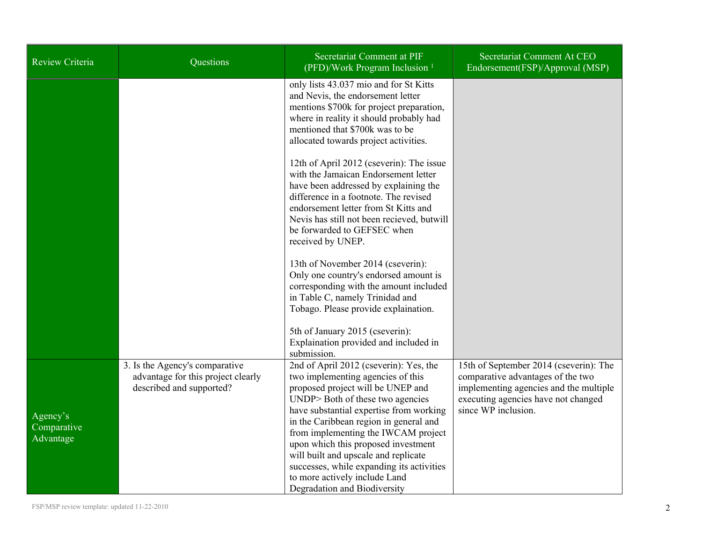| Review Criteria                      | Questions                                                                                        | Secretariat Comment at PIF<br>(PFD)/Work Program Inclusion <sup>1</sup>                                                                                                                                                                                                                                                                                                                                                                                                       | Secretariat Comment At CEO<br>Endorsement(FSP)/Approval (MSP)                                                                                                                       |
|--------------------------------------|--------------------------------------------------------------------------------------------------|-------------------------------------------------------------------------------------------------------------------------------------------------------------------------------------------------------------------------------------------------------------------------------------------------------------------------------------------------------------------------------------------------------------------------------------------------------------------------------|-------------------------------------------------------------------------------------------------------------------------------------------------------------------------------------|
|                                      |                                                                                                  | only lists 43.037 mio and for St Kitts<br>and Nevis, the endorsement letter<br>mentions \$700k for project preparation,<br>where in reality it should probably had<br>mentioned that \$700k was to be<br>allocated towards project activities.                                                                                                                                                                                                                                |                                                                                                                                                                                     |
|                                      |                                                                                                  | 12th of April 2012 (cseverin): The issue<br>with the Jamaican Endorsement letter<br>have been addressed by explaining the<br>difference in a footnote. The revised<br>endorsement letter from St Kitts and<br>Nevis has still not been recieved, butwill<br>be forwarded to GEFSEC when<br>received by UNEP.                                                                                                                                                                  |                                                                                                                                                                                     |
|                                      |                                                                                                  | 13th of November 2014 (cseverin):<br>Only one country's endorsed amount is<br>corresponding with the amount included<br>in Table C, namely Trinidad and<br>Tobago. Please provide explaination.                                                                                                                                                                                                                                                                               |                                                                                                                                                                                     |
|                                      |                                                                                                  | 5th of January 2015 (cseverin):<br>Explaination provided and included in<br>submission.                                                                                                                                                                                                                                                                                                                                                                                       |                                                                                                                                                                                     |
| Agency's<br>Comparative<br>Advantage | 3. Is the Agency's comparative<br>advantage for this project clearly<br>described and supported? | 2nd of April 2012 (cseverin): Yes, the<br>two implementing agencies of this<br>proposed project will be UNEP and<br>UNDP> Both of these two agencies<br>have substantial expertise from working<br>in the Caribbean region in general and<br>from implementing the IWCAM project<br>upon which this proposed investment<br>will built and upscale and replicate<br>successes, while expanding its activities<br>to more actively include Land<br>Degradation and Biodiversity | 15th of September 2014 (cseverin): The<br>comparative advantages of the two<br>implementing agencies and the multiple<br>executing agencies have not changed<br>since WP inclusion. |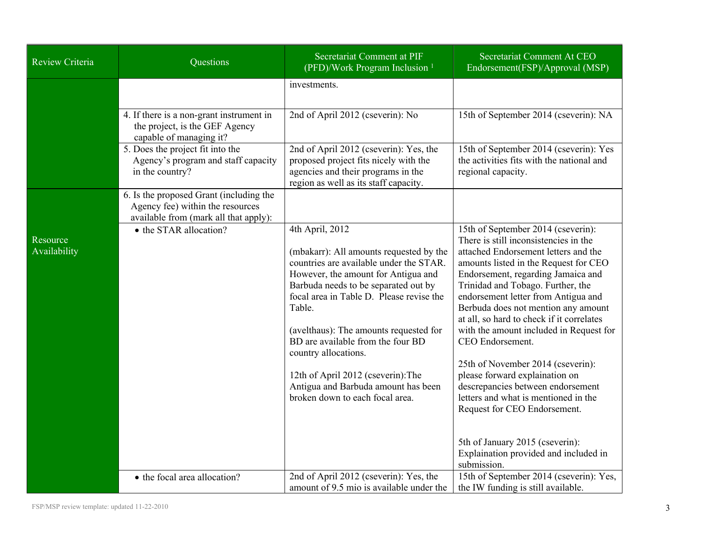| Review Criteria          | Questions                                                                                                            | <b>Secretariat Comment at PIF</b><br>(PFD)/Work Program Inclusion <sup>1</sup>                                                                                                                                                                                                                                                                                                                                                                                    | Secretariat Comment At CEO<br>Endorsement(FSP)/Approval (MSP)                                                                                                                                                                                                                                                                                                                                                                                                                                                                                                                                                                                                                                                    |
|--------------------------|----------------------------------------------------------------------------------------------------------------------|-------------------------------------------------------------------------------------------------------------------------------------------------------------------------------------------------------------------------------------------------------------------------------------------------------------------------------------------------------------------------------------------------------------------------------------------------------------------|------------------------------------------------------------------------------------------------------------------------------------------------------------------------------------------------------------------------------------------------------------------------------------------------------------------------------------------------------------------------------------------------------------------------------------------------------------------------------------------------------------------------------------------------------------------------------------------------------------------------------------------------------------------------------------------------------------------|
|                          |                                                                                                                      | investments.                                                                                                                                                                                                                                                                                                                                                                                                                                                      |                                                                                                                                                                                                                                                                                                                                                                                                                                                                                                                                                                                                                                                                                                                  |
|                          | 4. If there is a non-grant instrument in<br>the project, is the GEF Agency<br>capable of managing it?                | 2nd of April 2012 (cseverin): No                                                                                                                                                                                                                                                                                                                                                                                                                                  | 15th of September 2014 (cseverin): NA                                                                                                                                                                                                                                                                                                                                                                                                                                                                                                                                                                                                                                                                            |
|                          | 5. Does the project fit into the<br>Agency's program and staff capacity<br>in the country?                           | 2nd of April 2012 (cseverin): Yes, the<br>proposed project fits nicely with the<br>agencies and their programs in the<br>region as well as its staff capacity.                                                                                                                                                                                                                                                                                                    | 15th of September 2014 (cseverin): Yes<br>the activities fits with the national and<br>regional capacity.                                                                                                                                                                                                                                                                                                                                                                                                                                                                                                                                                                                                        |
|                          | 6. Is the proposed Grant (including the<br>Agency fee) within the resources<br>available from (mark all that apply): |                                                                                                                                                                                                                                                                                                                                                                                                                                                                   |                                                                                                                                                                                                                                                                                                                                                                                                                                                                                                                                                                                                                                                                                                                  |
| Resource<br>Availability | • the STAR allocation?                                                                                               | 4th April, 2012<br>(mbakarr): All amounts requested by the<br>countries are available under the STAR.<br>However, the amount for Antigua and<br>Barbuda needs to be separated out by<br>focal area in Table D. Please revise the<br>Table.<br>(avelthaus): The amounts requested for<br>BD are available from the four BD<br>country allocations.<br>12th of April 2012 (cseverin): The<br>Antigua and Barbuda amount has been<br>broken down to each focal area. | 15th of September 2014 (cseverin):<br>There is still inconsistencies in the<br>attached Endorsement letters and the<br>amounts listed in the Request for CEO<br>Endorsement, regarding Jamaica and<br>Trinidad and Tobago. Further, the<br>endorsement letter from Antigua and<br>Berbuda does not mention any amount<br>at all, so hard to check if it correlates<br>with the amount included in Request for<br>CEO Endorsement.<br>25th of November 2014 (cseverin):<br>please forward explaination on<br>descrepancies between endorsement<br>letters and what is mentioned in the<br>Request for CEO Endorsement.<br>5th of January 2015 (cseverin):<br>Explaination provided and included in<br>submission. |
|                          | • the focal area allocation?                                                                                         | 2nd of April 2012 (cseverin): Yes, the<br>amount of 9.5 mio is available under the                                                                                                                                                                                                                                                                                                                                                                                | 15th of September 2014 (cseverin): Yes,<br>the IW funding is still available.                                                                                                                                                                                                                                                                                                                                                                                                                                                                                                                                                                                                                                    |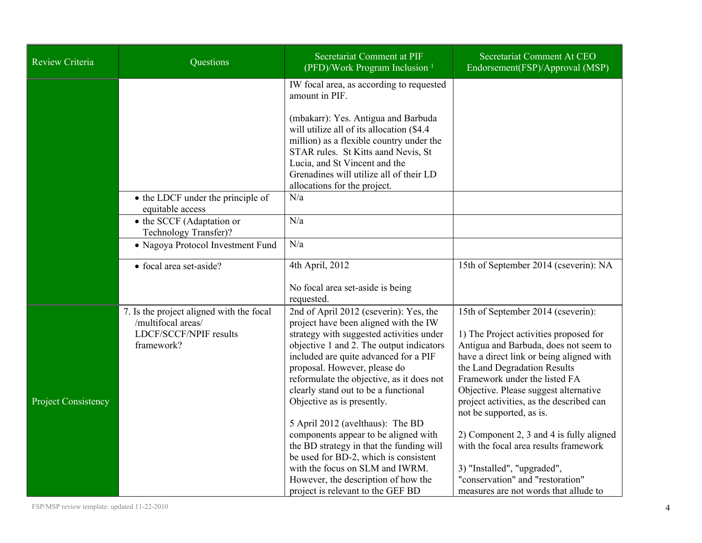| Review Criteria            | Questions                                                                                              | Secretariat Comment at PIF<br>(PFD)/Work Program Inclusion <sup>1</sup>                                                                                                                                                                                                                                                                                                                                 | Secretariat Comment At CEO<br>Endorsement(FSP)/Approval (MSP)                                                                                                                                                                                                                                                                                       |
|----------------------------|--------------------------------------------------------------------------------------------------------|---------------------------------------------------------------------------------------------------------------------------------------------------------------------------------------------------------------------------------------------------------------------------------------------------------------------------------------------------------------------------------------------------------|-----------------------------------------------------------------------------------------------------------------------------------------------------------------------------------------------------------------------------------------------------------------------------------------------------------------------------------------------------|
|                            |                                                                                                        | IW focal area, as according to requested<br>amount in PIF.                                                                                                                                                                                                                                                                                                                                              |                                                                                                                                                                                                                                                                                                                                                     |
|                            |                                                                                                        | (mbakarr): Yes. Antigua and Barbuda<br>will utilize all of its allocation (\$4.4)<br>million) as a flexible country under the<br>STAR rules. St Kitts aand Nevis, St<br>Lucia, and St Vincent and the<br>Grenadines will utilize all of their LD<br>allocations for the project.                                                                                                                        |                                                                                                                                                                                                                                                                                                                                                     |
|                            | • the LDCF under the principle of<br>equitable access                                                  | N/a                                                                                                                                                                                                                                                                                                                                                                                                     |                                                                                                                                                                                                                                                                                                                                                     |
|                            | • the SCCF (Adaptation or<br>Technology Transfer)?                                                     | N/a                                                                                                                                                                                                                                                                                                                                                                                                     |                                                                                                                                                                                                                                                                                                                                                     |
|                            | • Nagoya Protocol Investment Fund                                                                      | N/a                                                                                                                                                                                                                                                                                                                                                                                                     |                                                                                                                                                                                                                                                                                                                                                     |
|                            | • focal area set-aside?                                                                                | 4th April, 2012                                                                                                                                                                                                                                                                                                                                                                                         | 15th of September 2014 (cseverin): NA                                                                                                                                                                                                                                                                                                               |
|                            |                                                                                                        | No focal area set-aside is being<br>requested.                                                                                                                                                                                                                                                                                                                                                          |                                                                                                                                                                                                                                                                                                                                                     |
| <b>Project Consistency</b> | 7. Is the project aligned with the focal<br>/multifocal areas/<br>LDCF/SCCF/NPIF results<br>framework? | 2nd of April 2012 (cseverin): Yes, the<br>project have been aligned with the IW<br>strategy with suggested activities under<br>objective 1 and 2. The output indicators<br>included are quite advanced for a PIF<br>proposal. However, please do<br>reformulate the objective, as it does not<br>clearly stand out to be a functional<br>Objective as is presently.<br>5 April 2012 (avelthaus): The BD | 15th of September 2014 (cseverin):<br>1) The Project activities proposed for<br>Antigua and Barbuda, does not seem to<br>have a direct link or being aligned with<br>the Land Degradation Results<br>Framework under the listed FA<br>Objective. Please suggest alternative<br>project activities, as the described can<br>not be supported, as is. |
|                            |                                                                                                        | components appear to be aligned with<br>the BD strategy in that the funding will<br>be used for BD-2, which is consistent<br>with the focus on SLM and IWRM.<br>However, the description of how the<br>project is relevant to the GEF BD                                                                                                                                                                | 2) Component 2, 3 and 4 is fully aligned<br>with the focal area results framework<br>3) "Installed", "upgraded",<br>"conservation" and "restoration"<br>measures are not words that allude to                                                                                                                                                       |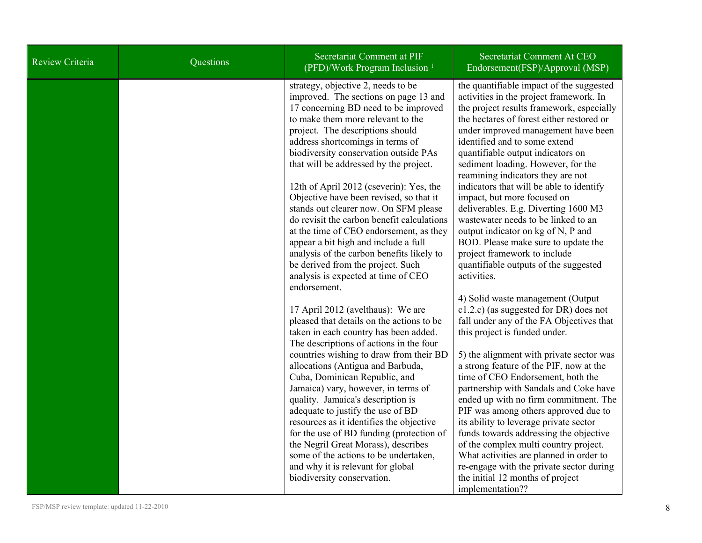| Review Criteria | Questions | Secretariat Comment at PIF<br>(PFD)/Work Program Inclusion <sup>1</sup>                                                                                                                                                                                                                                                                                                                                                                                                                                                                                                                                                                                                                                                                                                                                                                                                                                                                                                                                                                                                                                                              | Secretariat Comment At CEO<br>Endorsement(FSP)/Approval (MSP)                                                                                                                                                                                                                                                                                                                                                                                                                                                                                                                                                                                                                                                                                                                                                                                                                                                                                                                                                                                                                                                              |
|-----------------|-----------|--------------------------------------------------------------------------------------------------------------------------------------------------------------------------------------------------------------------------------------------------------------------------------------------------------------------------------------------------------------------------------------------------------------------------------------------------------------------------------------------------------------------------------------------------------------------------------------------------------------------------------------------------------------------------------------------------------------------------------------------------------------------------------------------------------------------------------------------------------------------------------------------------------------------------------------------------------------------------------------------------------------------------------------------------------------------------------------------------------------------------------------|----------------------------------------------------------------------------------------------------------------------------------------------------------------------------------------------------------------------------------------------------------------------------------------------------------------------------------------------------------------------------------------------------------------------------------------------------------------------------------------------------------------------------------------------------------------------------------------------------------------------------------------------------------------------------------------------------------------------------------------------------------------------------------------------------------------------------------------------------------------------------------------------------------------------------------------------------------------------------------------------------------------------------------------------------------------------------------------------------------------------------|
|                 |           | strategy, objective 2, needs to be<br>improved. The sections on page 13 and<br>17 concerning BD need to be improved<br>to make them more relevant to the<br>project. The descriptions should<br>address shortcomings in terms of<br>biodiversity conservation outside PAs<br>that will be addressed by the project.<br>12th of April 2012 (cseverin): Yes, the<br>Objective have been revised, so that it<br>stands out clearer now. On SFM please<br>do revisit the carbon benefit calculations<br>at the time of CEO endorsement, as they<br>appear a bit high and include a full<br>analysis of the carbon benefits likely to<br>be derived from the project. Such<br>analysis is expected at time of CEO<br>endorsement.<br>17 April 2012 (avelthaus): We are<br>pleased that details on the actions to be<br>taken in each country has been added.<br>The descriptions of actions in the four<br>countries wishing to draw from their BD<br>allocations (Antigua and Barbuda,<br>Cuba, Dominican Republic, and<br>Jamaica) vary, however, in terms of<br>quality. Jamaica's description is<br>adequate to justify the use of BD | the quantifiable impact of the suggested<br>activities in the project framework. In<br>the project results framework, especially<br>the hectares of forest either restored or<br>under improved management have been<br>identified and to some extend<br>quantifiable output indicators on<br>sediment loading. However, for the<br>reamining indicators they are not<br>indicators that will be able to identify<br>impact, but more focused on<br>deliverables. E.g. Diverting 1600 M3<br>wastewater needs to be linked to an<br>output indicator on kg of N, P and<br>BOD. Please make sure to update the<br>project framework to include<br>quantifiable outputs of the suggested<br>activities.<br>4) Solid waste management (Output<br>$c1.2.c$ ) (as suggested for DR) does not<br>fall under any of the FA Objectives that<br>this project is funded under.<br>5) the alignment with private sector was<br>a strong feature of the PIF, now at the<br>time of CEO Endorsement, both the<br>partnership with Sandals and Coke have<br>ended up with no firm commitment. The<br>PIF was among others approved due to |
|                 |           | resources as it identifies the objective<br>for the use of BD funding (protection of<br>the Negril Great Morass), describes<br>some of the actions to be undertaken,<br>and why it is relevant for global<br>biodiversity conservation.                                                                                                                                                                                                                                                                                                                                                                                                                                                                                                                                                                                                                                                                                                                                                                                                                                                                                              | its ability to leverage private sector<br>funds towards addressing the objective<br>of the complex multi country project.<br>What activities are planned in order to<br>re-engage with the private sector during<br>the initial 12 months of project<br>implementation??                                                                                                                                                                                                                                                                                                                                                                                                                                                                                                                                                                                                                                                                                                                                                                                                                                                   |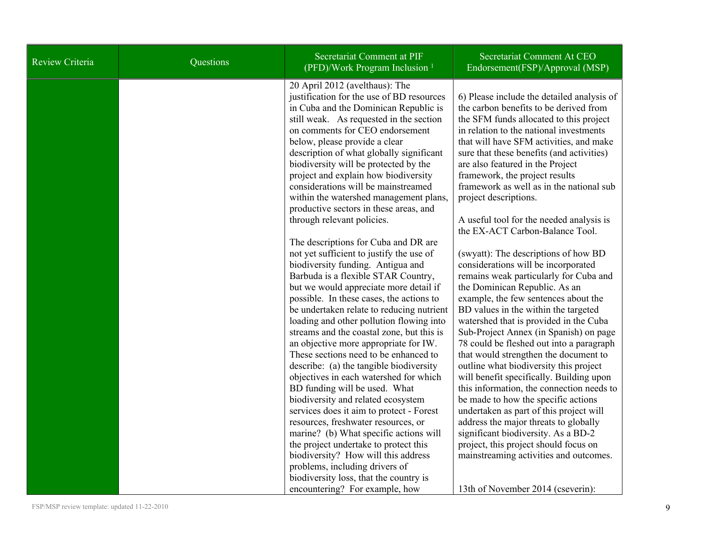| <b>Review Criteria</b> | Questions | Secretariat Comment at PIF<br>(PFD)/Work Program Inclusion <sup>1</sup>                                                                                                                                                                                                                                                                                                                                                                                                                                                                                                                                                                                                                                                                                                                           | Secretariat Comment At CEO<br>Endorsement(FSP)/Approval (MSP)                                                                                                                                                                                                                                                                                                                                                                                                                                                                                                                                                                                                                                                       |
|------------------------|-----------|---------------------------------------------------------------------------------------------------------------------------------------------------------------------------------------------------------------------------------------------------------------------------------------------------------------------------------------------------------------------------------------------------------------------------------------------------------------------------------------------------------------------------------------------------------------------------------------------------------------------------------------------------------------------------------------------------------------------------------------------------------------------------------------------------|---------------------------------------------------------------------------------------------------------------------------------------------------------------------------------------------------------------------------------------------------------------------------------------------------------------------------------------------------------------------------------------------------------------------------------------------------------------------------------------------------------------------------------------------------------------------------------------------------------------------------------------------------------------------------------------------------------------------|
|                        |           | 20 April 2012 (avelthaus): The<br>justification for the use of BD resources<br>in Cuba and the Dominican Republic is<br>still weak. As requested in the section<br>on comments for CEO endorsement<br>below, please provide a clear<br>description of what globally significant<br>biodiversity will be protected by the<br>project and explain how biodiversity<br>considerations will be mainstreamed<br>within the watershed management plans,<br>productive sectors in these areas, and<br>through relevant policies.<br>The descriptions for Cuba and DR are<br>not yet sufficient to justify the use of<br>biodiversity funding. Antigua and<br>Barbuda is a flexible STAR Country,                                                                                                         | 6) Please include the detailed analysis of<br>the carbon benefits to be derived from<br>the SFM funds allocated to this project<br>in relation to the national investments<br>that will have SFM activities, and make<br>sure that these benefits (and activities)<br>are also featured in the Project<br>framework, the project results<br>framework as well as in the national sub<br>project descriptions.<br>A useful tool for the needed analysis is<br>the EX-ACT Carbon-Balance Tool.<br>(swyatt): The descriptions of how BD<br>considerations will be incorporated<br>remains weak particularly for Cuba and                                                                                               |
|                        |           | but we would appreciate more detail if<br>possible. In these cases, the actions to<br>be undertaken relate to reducing nutrient<br>loading and other pollution flowing into<br>streams and the coastal zone, but this is<br>an objective more appropriate for IW.<br>These sections need to be enhanced to<br>describe: (a) the tangible biodiversity<br>objectives in each watershed for which<br>BD funding will be used. What<br>biodiversity and related ecosystem<br>services does it aim to protect - Forest<br>resources, freshwater resources, or<br>marine? (b) What specific actions will<br>the project undertake to protect this<br>biodiversity? How will this address<br>problems, including drivers of<br>biodiversity loss, that the country is<br>encountering? For example, how | the Dominican Republic. As an<br>example, the few sentences about the<br>BD values in the within the targeted<br>watershed that is provided in the Cuba<br>Sub-Project Annex (in Spanish) on page<br>78 could be fleshed out into a paragraph<br>that would strengthen the document to<br>outline what biodiversity this project<br>will benefit specifically. Building upon<br>this information, the connection needs to<br>be made to how the specific actions<br>undertaken as part of this project will<br>address the major threats to globally<br>significant biodiversity. As a BD-2<br>project, this project should focus on<br>mainstreaming activities and outcomes.<br>13th of November 2014 (cseverin): |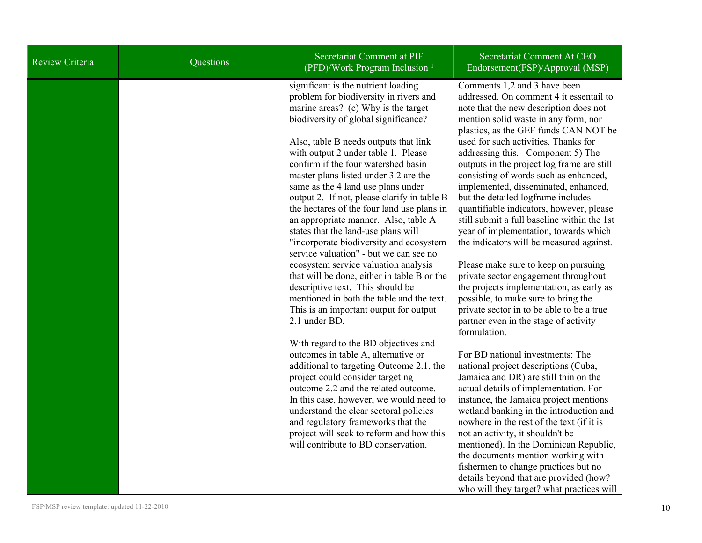| Review Criteria | Questions | Secretariat Comment at PIF<br>(PFD)/Work Program Inclusion <sup>1</sup>                                                                                                                                                                                                                                                                                                                                                                                                                                                                                                                                                                                                                                                                                                                                                                                                | Secretariat Comment At CEO<br>Endorsement(FSP)/Approval (MSP)                                                                                                                                                                                                                                                                                                                                                                                                                                                                                                                                                                                                                                                                                                                                                                                                                                                 |
|-----------------|-----------|------------------------------------------------------------------------------------------------------------------------------------------------------------------------------------------------------------------------------------------------------------------------------------------------------------------------------------------------------------------------------------------------------------------------------------------------------------------------------------------------------------------------------------------------------------------------------------------------------------------------------------------------------------------------------------------------------------------------------------------------------------------------------------------------------------------------------------------------------------------------|---------------------------------------------------------------------------------------------------------------------------------------------------------------------------------------------------------------------------------------------------------------------------------------------------------------------------------------------------------------------------------------------------------------------------------------------------------------------------------------------------------------------------------------------------------------------------------------------------------------------------------------------------------------------------------------------------------------------------------------------------------------------------------------------------------------------------------------------------------------------------------------------------------------|
|                 |           | significant is the nutrient loading<br>problem for biodiversity in rivers and<br>marine areas? (c) Why is the target<br>biodiversity of global significance?<br>Also, table B needs outputs that link<br>with output 2 under table 1. Please<br>confirm if the four watershed basin<br>master plans listed under 3.2 are the<br>same as the 4 land use plans under<br>output 2. If not, please clarify in table B<br>the hectares of the four land use plans in<br>an appropriate manner. Also, table A<br>states that the land-use plans will<br>"incorporate biodiversity and ecosystem<br>service valuation" - but we can see no<br>ecosystem service valuation analysis<br>that will be done, either in table B or the<br>descriptive text. This should be<br>mentioned in both the table and the text.<br>This is an important output for output<br>2.1 under BD. | Comments 1,2 and 3 have been<br>addressed. On comment 4 it essentail to<br>note that the new description does not<br>mention solid waste in any form, nor<br>plastics, as the GEF funds CAN NOT be<br>used for such activities. Thanks for<br>addressing this. Component 5) The<br>outputs in the project log frame are still<br>consisting of words such as enhanced,<br>implemented, disseminated, enhanced,<br>but the detailed logframe includes<br>quantifiable indicators, however, please<br>still submit a full baseline within the 1st<br>year of implementation, towards which<br>the indicators will be measured against.<br>Please make sure to keep on pursuing<br>private sector engagement throughout<br>the projects implementation, as early as<br>possible, to make sure to bring the<br>private sector in to be able to be a true<br>partner even in the stage of activity<br>formulation. |
|                 |           | With regard to the BD objectives and<br>outcomes in table A, alternative or<br>additional to targeting Outcome 2.1, the<br>project could consider targeting<br>outcome 2.2 and the related outcome.<br>In this case, however, we would need to<br>understand the clear sectoral policies<br>and regulatory frameworks that the<br>project will seek to reform and how this<br>will contribute to BD conservation.                                                                                                                                                                                                                                                                                                                                                                                                                                                      | For BD national investments: The<br>national project descriptions (Cuba,<br>Jamaica and DR) are still thin on the<br>actual details of implementation. For<br>instance, the Jamaica project mentions<br>wetland banking in the introduction and<br>nowhere in the rest of the text (if it is<br>not an activity, it shouldn't be<br>mentioned). In the Dominican Republic,<br>the documents mention working with<br>fishermen to change practices but no<br>details beyond that are provided (how?<br>who will they target? what practices will                                                                                                                                                                                                                                                                                                                                                               |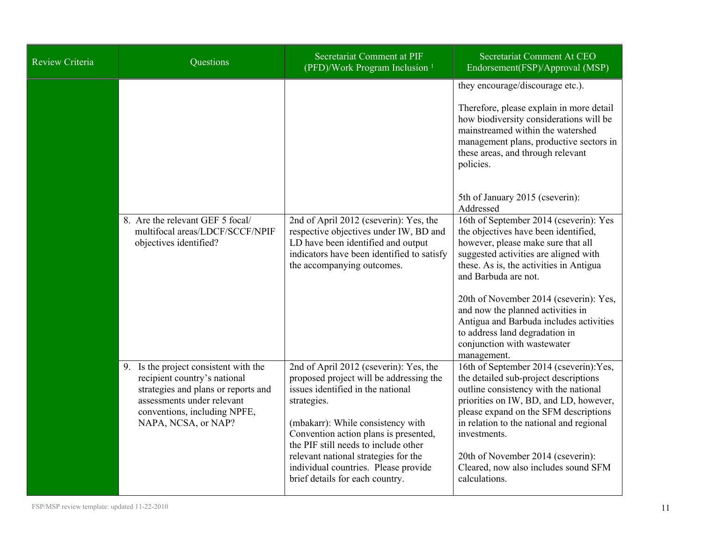| <b>Review Criteria</b> | <b>Questions</b>                                                                                                                                                                                  | Secretariat Comment at PIF<br>(PFD)/Work Program Inclusion <sup>1</sup>                                                                                                                                                                                                                                                                                                        | Secretariat Comment At CEO<br>Endorsement(FSP)/Approval (MSP)                                                                                                                                                                                                                                                                                                                                                                                                                              |
|------------------------|---------------------------------------------------------------------------------------------------------------------------------------------------------------------------------------------------|--------------------------------------------------------------------------------------------------------------------------------------------------------------------------------------------------------------------------------------------------------------------------------------------------------------------------------------------------------------------------------|--------------------------------------------------------------------------------------------------------------------------------------------------------------------------------------------------------------------------------------------------------------------------------------------------------------------------------------------------------------------------------------------------------------------------------------------------------------------------------------------|
|                        |                                                                                                                                                                                                   |                                                                                                                                                                                                                                                                                                                                                                                | they encourage/discourage etc.).<br>Therefore, please explain in more detail<br>how biodiversity considerations will be<br>mainstreamed within the watershed<br>management plans, productive sectors in<br>these areas, and through relevant<br>policies.                                                                                                                                                                                                                                  |
|                        | 8. Are the relevant GEF 5 focal/<br>multifocal areas/LDCF/SCCF/NPIF<br>objectives identified?                                                                                                     | 2nd of April 2012 (cseverin): Yes, the<br>respective objectives under IW, BD and<br>LD have been identified and output<br>indicators have been identified to satisfy<br>the accompanying outcomes.                                                                                                                                                                             | 5th of January 2015 (cseverin):<br>Addressed<br>16th of September 2014 (cseverin): Yes<br>the objectives have been identified,<br>however, please make sure that all<br>suggested activities are aligned with<br>these. As is, the activities in Antigua<br>and Barbuda are not.<br>20th of November 2014 (cseverin): Yes,<br>and now the planned activities in<br>Antigua and Barbuda includes activities<br>to address land degradation in<br>conjunction with wastewater<br>management. |
|                        | 9. Is the project consistent with the<br>recipient country's national<br>strategies and plans or reports and<br>assessments under relevant<br>conventions, including NPFE,<br>NAPA, NCSA, or NAP? | 2nd of April 2012 (cseverin): Yes, the<br>proposed project will be addressing the<br>issues identified in the national<br>strategies.<br>(mbakarr): While consistency with<br>Convention action plans is presented,<br>the PIF still needs to include other<br>relevant national strategies for the<br>individual countries. Please provide<br>brief details for each country. | 16th of September 2014 (cseverin): Yes,<br>the detailed sub-project descriptions<br>outline consistency with the national<br>priorities on IW, BD, and LD, however,<br>please expand on the SFM descriptions<br>in relation to the national and regional<br>investments.<br>20th of November 2014 (cseverin):<br>Cleared, now also includes sound SFM<br>calculations.                                                                                                                     |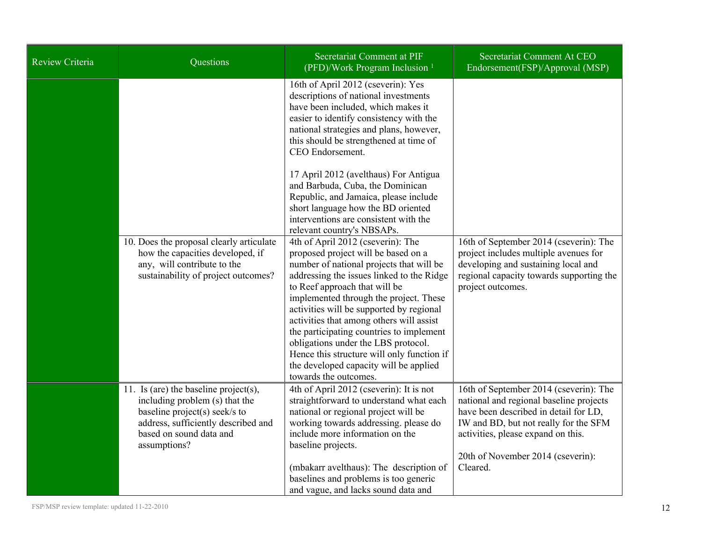| Review Criteria | Questions                                                                                                                                                                                  | Secretariat Comment at PIF<br>(PFD)/Work Program Inclusion <sup>1</sup>                                                                                                                                                                                                                                                                                                                                                                                                                                                                  | Secretariat Comment At CEO<br>Endorsement(FSP)/Approval (MSP)                                                                                                                                                                                              |
|-----------------|--------------------------------------------------------------------------------------------------------------------------------------------------------------------------------------------|------------------------------------------------------------------------------------------------------------------------------------------------------------------------------------------------------------------------------------------------------------------------------------------------------------------------------------------------------------------------------------------------------------------------------------------------------------------------------------------------------------------------------------------|------------------------------------------------------------------------------------------------------------------------------------------------------------------------------------------------------------------------------------------------------------|
|                 |                                                                                                                                                                                            | 16th of April 2012 (cseverin): Yes<br>descriptions of national investments<br>have been included, which makes it<br>easier to identify consistency with the<br>national strategies and plans, however,<br>this should be strengthened at time of<br>CEO Endorsement.                                                                                                                                                                                                                                                                     |                                                                                                                                                                                                                                                            |
|                 |                                                                                                                                                                                            | 17 April 2012 (avelthaus) For Antigua<br>and Barbuda, Cuba, the Dominican<br>Republic, and Jamaica, please include<br>short language how the BD oriented<br>interventions are consistent with the<br>relevant country's NBSAPs.                                                                                                                                                                                                                                                                                                          |                                                                                                                                                                                                                                                            |
|                 | 10. Does the proposal clearly articulate<br>how the capacities developed, if<br>any, will contribute to the<br>sustainability of project outcomes?                                         | 4th of April 2012 (cseverin): The<br>proposed project will be based on a<br>number of national projects that will be<br>addressing the issues linked to the Ridge<br>to Reef approach that will be<br>implemented through the project. These<br>activities will be supported by regional<br>activities that among others will assist<br>the participating countries to implement<br>obligations under the LBS protocol.<br>Hence this structure will only function if<br>the developed capacity will be applied<br>towards the outcomes. | 16th of September 2014 (cseverin): The<br>project includes multiple avenues for<br>developing and sustaining local and<br>regional capacity towards supporting the<br>project outcomes.                                                                    |
|                 | 11. Is (are) the baseline project(s),<br>including problem (s) that the<br>baseline project(s) seek/s to<br>address, sufficiently described and<br>based on sound data and<br>assumptions? | 4th of April 2012 (cseverin): It is not<br>straightforward to understand what each<br>national or regional project will be<br>working towards addressing. please do<br>include more information on the<br>baseline projects.<br>(mbakarr avelthaus): The description of<br>baselines and problems is too generic<br>and vague, and lacks sound data and                                                                                                                                                                                  | 16th of September 2014 (cseverin): The<br>national and regional baseline projects<br>have been described in detail for LD,<br>IW and BD, but not really for the SFM<br>activities, please expand on this.<br>20th of November 2014 (cseverin):<br>Cleared. |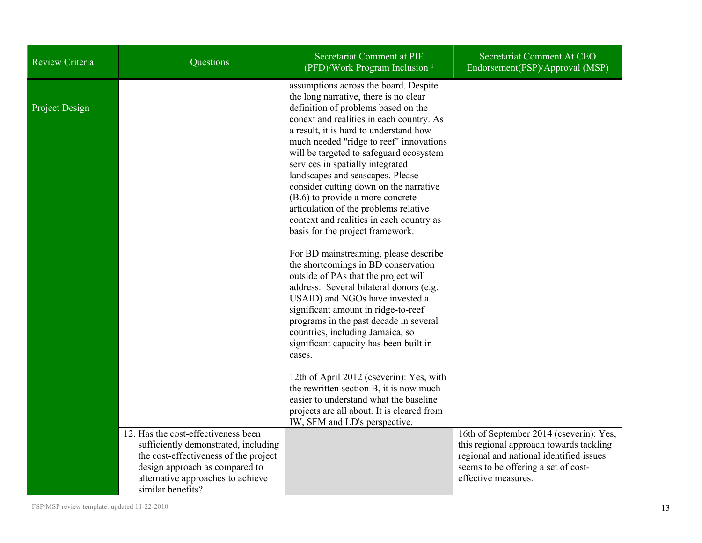| Review Criteria | Questions                                                                                                                                                                                                        | Secretariat Comment at PIF<br>(PFD)/Work Program Inclusion <sup>1</sup>                                                                                                                                                                                                                                                                                                                                                                                                                                                                                                                                                                                                                                                                                                                                                       | Secretariat Comment At CEO<br>Endorsement(FSP)/Approval (MSP)                                                                                                                               |
|-----------------|------------------------------------------------------------------------------------------------------------------------------------------------------------------------------------------------------------------|-------------------------------------------------------------------------------------------------------------------------------------------------------------------------------------------------------------------------------------------------------------------------------------------------------------------------------------------------------------------------------------------------------------------------------------------------------------------------------------------------------------------------------------------------------------------------------------------------------------------------------------------------------------------------------------------------------------------------------------------------------------------------------------------------------------------------------|---------------------------------------------------------------------------------------------------------------------------------------------------------------------------------------------|
| Project Design  |                                                                                                                                                                                                                  | assumptions across the board. Despite<br>the long narrative, there is no clear<br>definition of problems based on the<br>conext and realities in each country. As<br>a result, it is hard to understand how<br>much needed "ridge to reef" innovations<br>will be targeted to safeguard ecosystem<br>services in spatially integrated<br>landscapes and seascapes. Please<br>consider cutting down on the narrative<br>(B.6) to provide a more concrete<br>articulation of the problems relative<br>context and realities in each country as<br>basis for the project framework.<br>For BD mainstreaming, please describe<br>the shortcomings in BD conservation<br>outside of PAs that the project will<br>address. Several bilateral donors (e.g.<br>USAID) and NGOs have invested a<br>significant amount in ridge-to-reef |                                                                                                                                                                                             |
|                 |                                                                                                                                                                                                                  | programs in the past decade in several<br>countries, including Jamaica, so<br>significant capacity has been built in<br>cases.                                                                                                                                                                                                                                                                                                                                                                                                                                                                                                                                                                                                                                                                                                |                                                                                                                                                                                             |
|                 |                                                                                                                                                                                                                  | 12th of April 2012 (cseverin): Yes, with<br>the rewritten section B, it is now much<br>easier to understand what the baseline<br>projects are all about. It is cleared from<br>IW, SFM and LD's perspective.                                                                                                                                                                                                                                                                                                                                                                                                                                                                                                                                                                                                                  |                                                                                                                                                                                             |
|                 | 12. Has the cost-effectiveness been<br>sufficiently demonstrated, including<br>the cost-effectiveness of the project<br>design approach as compared to<br>alternative approaches to achieve<br>similar benefits? |                                                                                                                                                                                                                                                                                                                                                                                                                                                                                                                                                                                                                                                                                                                                                                                                                               | 16th of September 2014 (cseverin): Yes,<br>this regional approach towards tackling<br>regional and national identified issues<br>seems to be offering a set of cost-<br>effective measures. |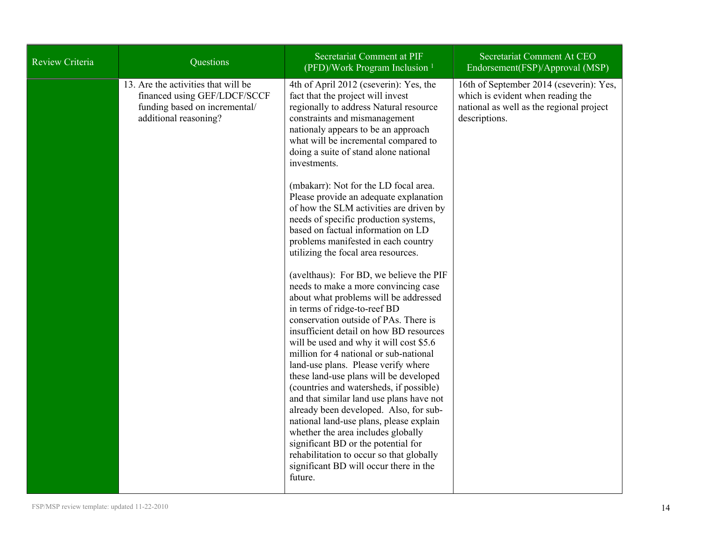| Review Criteria | Questions                                                                                                                     | Secretariat Comment at PIF<br>(PFD)/Work Program Inclusion <sup>1</sup>                                                                                                                                                                                                                                                                                                                                                                                       | Secretariat Comment At CEO<br>Endorsement(FSP)/Approval (MSP)                                                                             |
|-----------------|-------------------------------------------------------------------------------------------------------------------------------|---------------------------------------------------------------------------------------------------------------------------------------------------------------------------------------------------------------------------------------------------------------------------------------------------------------------------------------------------------------------------------------------------------------------------------------------------------------|-------------------------------------------------------------------------------------------------------------------------------------------|
|                 | 13. Are the activities that will be<br>financed using GEF/LDCF/SCCF<br>funding based on incremental/<br>additional reasoning? | 4th of April 2012 (cseverin): Yes, the<br>fact that the project will invest<br>regionally to address Natural resource<br>constraints and mismanagement<br>nationaly appears to be an approach<br>what will be incremental compared to<br>doing a suite of stand alone national<br>investments.                                                                                                                                                                | 16th of September 2014 (cseverin): Yes,<br>which is evident when reading the<br>national as well as the regional project<br>descriptions. |
|                 |                                                                                                                               | (mbakarr): Not for the LD focal area.<br>Please provide an adequate explanation<br>of how the SLM activities are driven by<br>needs of specific production systems,<br>based on factual information on LD<br>problems manifested in each country<br>utilizing the focal area resources.                                                                                                                                                                       |                                                                                                                                           |
|                 |                                                                                                                               | (avelthaus): For BD, we believe the PIF<br>needs to make a more convincing case<br>about what problems will be addressed<br>in terms of ridge-to-reef BD<br>conservation outside of PAs. There is<br>insufficient detail on how BD resources<br>will be used and why it will cost \$5.6<br>million for 4 national or sub-national<br>land-use plans. Please verify where<br>these land-use plans will be developed<br>(countries and watersheds, if possible) |                                                                                                                                           |
|                 |                                                                                                                               | and that similar land use plans have not<br>already been developed. Also, for sub-<br>national land-use plans, please explain<br>whether the area includes globally<br>significant BD or the potential for<br>rehabilitation to occur so that globally<br>significant BD will occur there in the<br>future.                                                                                                                                                   |                                                                                                                                           |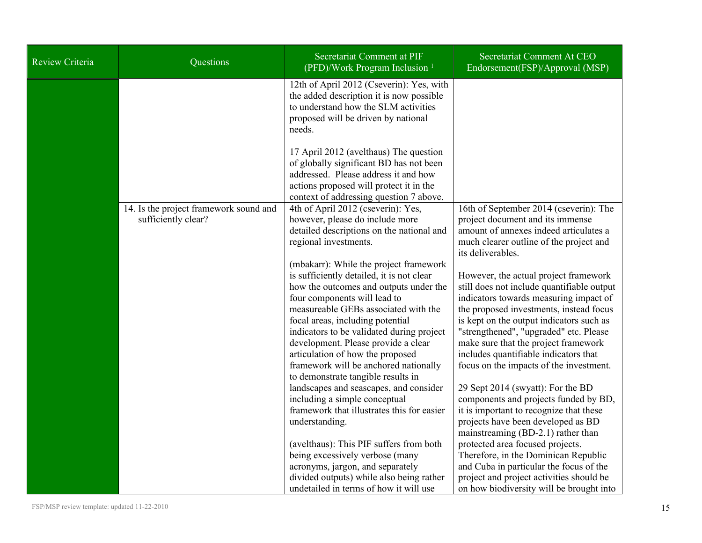| Review Criteria | Questions                                                     | Secretariat Comment at PIF<br>(PFD)/Work Program Inclusion <sup>1</sup>                                                                                                                                                                                                                                                                                                                                                                          | Secretariat Comment At CEO<br>Endorsement(FSP)/Approval (MSP)                                                                                                                                                                                                                                                                                                                                                    |
|-----------------|---------------------------------------------------------------|--------------------------------------------------------------------------------------------------------------------------------------------------------------------------------------------------------------------------------------------------------------------------------------------------------------------------------------------------------------------------------------------------------------------------------------------------|------------------------------------------------------------------------------------------------------------------------------------------------------------------------------------------------------------------------------------------------------------------------------------------------------------------------------------------------------------------------------------------------------------------|
|                 |                                                               | 12th of April 2012 (Cseverin): Yes, with<br>the added description it is now possible<br>to understand how the SLM activities<br>proposed will be driven by national<br>needs.                                                                                                                                                                                                                                                                    |                                                                                                                                                                                                                                                                                                                                                                                                                  |
|                 |                                                               | 17 April 2012 (avelthaus) The question<br>of globally significant BD has not been<br>addressed. Please address it and how<br>actions proposed will protect it in the<br>context of addressing question 7 above.                                                                                                                                                                                                                                  |                                                                                                                                                                                                                                                                                                                                                                                                                  |
|                 | 14. Is the project framework sound and<br>sufficiently clear? | 4th of April 2012 (cseverin): Yes,<br>however, please do include more<br>detailed descriptions on the national and<br>regional investments.                                                                                                                                                                                                                                                                                                      | 16th of September 2014 (cseverin): The<br>project document and its immense<br>amount of annexes indeed articulates a<br>much clearer outline of the project and<br>its deliverables.                                                                                                                                                                                                                             |
|                 |                                                               | (mbakarr): While the project framework<br>is sufficiently detailed, it is not clear<br>how the outcomes and outputs under the<br>four components will lead to<br>measureable GEBs associated with the<br>focal areas, including potential<br>indicators to be validated during project<br>development. Please provide a clear<br>articulation of how the proposed<br>framework will be anchored nationally<br>to demonstrate tangible results in | However, the actual project framework<br>still does not include quantifiable output<br>indicators towards measuring impact of<br>the proposed investments, instead focus<br>is kept on the output indicators such as<br>"strengthened", "upgraded" etc. Please<br>make sure that the project framework<br>includes quantifiable indicators that<br>focus on the impacts of the investment.                       |
|                 |                                                               | landscapes and seascapes, and consider<br>including a simple conceptual<br>framework that illustrates this for easier<br>understanding.<br>(avelthaus): This PIF suffers from both<br>being excessively verbose (many<br>acronyms, jargon, and separately<br>divided outputs) while also being rather<br>undetailed in terms of how it will use                                                                                                  | 29 Sept 2014 (swyatt): For the BD<br>components and projects funded by BD,<br>it is important to recognize that these<br>projects have been developed as BD<br>mainstreaming (BD-2.1) rather than<br>protected area focused projects.<br>Therefore, in the Dominican Republic<br>and Cuba in particular the focus of the<br>project and project activities should be<br>on how biodiversity will be brought into |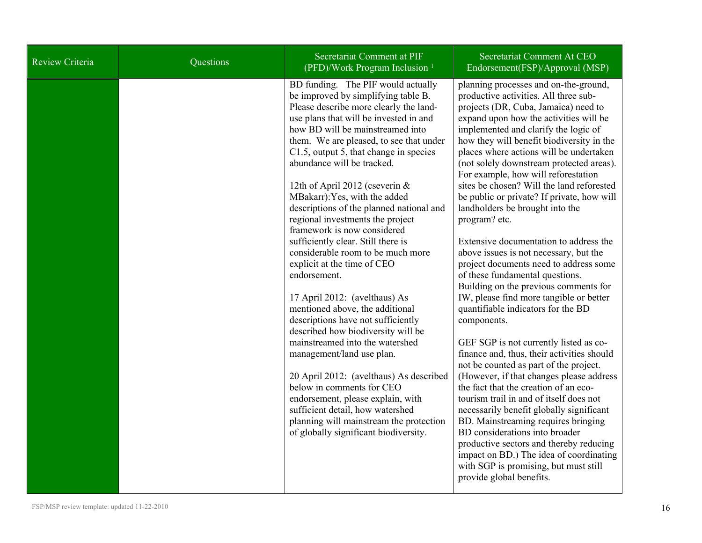| Review Criteria | Questions | Secretariat Comment at PIF<br>(PFD)/Work Program Inclusion <sup>1</sup>                                                                                                                                                                                                                                                                                                                                                                                                                                                                                                                                                                                                                                                                                                                                                                                                                                                                                                                                                                                                                 | Secretariat Comment At CEO<br>Endorsement(FSP)/Approval (MSP)                                                                                                                                                                                                                                                                                                                                                                                                                                                                                                                                                                                                                                                                                                                                                                                                                                                                                                                                                                                                                                                                                                                                                                                                                                                                                                                                  |
|-----------------|-----------|-----------------------------------------------------------------------------------------------------------------------------------------------------------------------------------------------------------------------------------------------------------------------------------------------------------------------------------------------------------------------------------------------------------------------------------------------------------------------------------------------------------------------------------------------------------------------------------------------------------------------------------------------------------------------------------------------------------------------------------------------------------------------------------------------------------------------------------------------------------------------------------------------------------------------------------------------------------------------------------------------------------------------------------------------------------------------------------------|------------------------------------------------------------------------------------------------------------------------------------------------------------------------------------------------------------------------------------------------------------------------------------------------------------------------------------------------------------------------------------------------------------------------------------------------------------------------------------------------------------------------------------------------------------------------------------------------------------------------------------------------------------------------------------------------------------------------------------------------------------------------------------------------------------------------------------------------------------------------------------------------------------------------------------------------------------------------------------------------------------------------------------------------------------------------------------------------------------------------------------------------------------------------------------------------------------------------------------------------------------------------------------------------------------------------------------------------------------------------------------------------|
|                 |           | BD funding. The PIF would actually<br>be improved by simplifying table B.<br>Please describe more clearly the land-<br>use plans that will be invested in and<br>how BD will be mainstreamed into<br>them. We are pleased, to see that under<br>C1.5, output 5, that change in species<br>abundance will be tracked.<br>12th of April 2012 (cseverin $&$<br>MBakarr): Yes, with the added<br>descriptions of the planned national and<br>regional investments the project<br>framework is now considered<br>sufficiently clear. Still there is<br>considerable room to be much more<br>explicit at the time of CEO<br>endorsement.<br>17 April 2012: (avelthaus) As<br>mentioned above, the additional<br>descriptions have not sufficiently<br>described how biodiversity will be<br>mainstreamed into the watershed<br>management/land use plan.<br>20 April 2012: (avelthaus) As described<br>below in comments for CEO<br>endorsement, please explain, with<br>sufficient detail, how watershed<br>planning will mainstream the protection<br>of globally significant biodiversity. | planning processes and on-the-ground,<br>productive activities. All three sub-<br>projects (DR, Cuba, Jamaica) need to<br>expand upon how the activities will be<br>implemented and clarify the logic of<br>how they will benefit biodiversity in the<br>places where actions will be undertaken<br>(not solely downstream protected areas).<br>For example, how will reforestation<br>sites be chosen? Will the land reforested<br>be public or private? If private, how will<br>landholders be brought into the<br>program? etc.<br>Extensive documentation to address the<br>above issues is not necessary, but the<br>project documents need to address some<br>of these fundamental questions.<br>Building on the previous comments for<br>IW, please find more tangible or better<br>quantifiable indicators for the BD<br>components.<br>GEF SGP is not currently listed as co-<br>finance and, thus, their activities should<br>not be counted as part of the project.<br>(However, if that changes please address<br>the fact that the creation of an eco-<br>tourism trail in and of itself does not<br>necessarily benefit globally significant<br>BD. Mainstreaming requires bringing<br>BD considerations into broader<br>productive sectors and thereby reducing<br>impact on BD.) The idea of coordinating<br>with SGP is promising, but must still<br>provide global benefits. |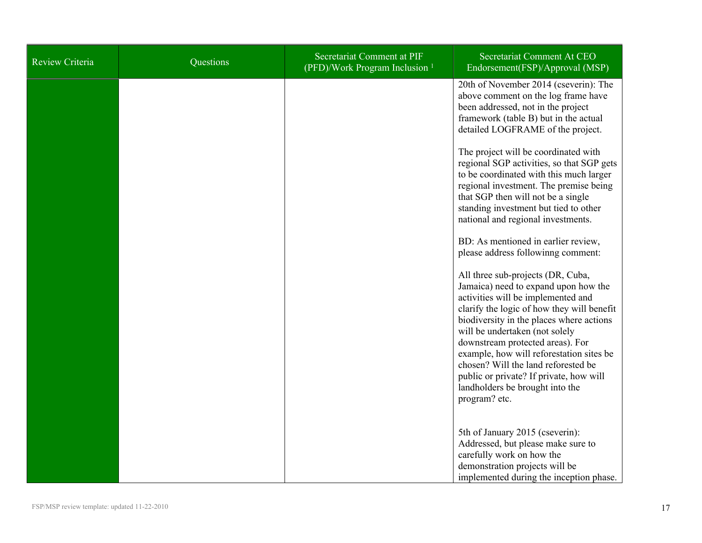| <b>Review Criteria</b> | Questions | Secretariat Comment at PIF<br>(PFD)/Work Program Inclusion <sup>1</sup> | Secretariat Comment At CEO<br>Endorsement(FSP)/Approval (MSP)                                                                                                                                                                                                                                                                                                                                                                                                     |
|------------------------|-----------|-------------------------------------------------------------------------|-------------------------------------------------------------------------------------------------------------------------------------------------------------------------------------------------------------------------------------------------------------------------------------------------------------------------------------------------------------------------------------------------------------------------------------------------------------------|
|                        |           |                                                                         | 20th of November 2014 (cseverin): The<br>above comment on the log frame have<br>been addressed, not in the project<br>framework (table B) but in the actual<br>detailed LOGFRAME of the project.                                                                                                                                                                                                                                                                  |
|                        |           |                                                                         | The project will be coordinated with<br>regional SGP activities, so that SGP gets<br>to be coordinated with this much larger<br>regional investment. The premise being<br>that SGP then will not be a single<br>standing investment but tied to other<br>national and regional investments.                                                                                                                                                                       |
|                        |           |                                                                         | BD: As mentioned in earlier review,<br>please address followinng comment:                                                                                                                                                                                                                                                                                                                                                                                         |
|                        |           |                                                                         | All three sub-projects (DR, Cuba,<br>Jamaica) need to expand upon how the<br>activities will be implemented and<br>clarify the logic of how they will benefit<br>biodiversity in the places where actions<br>will be undertaken (not solely<br>downstream protected areas). For<br>example, how will reforestation sites be<br>chosen? Will the land reforested be<br>public or private? If private, how will<br>landholders be brought into the<br>program? etc. |
|                        |           |                                                                         | 5th of January 2015 (cseverin):<br>Addressed, but please make sure to<br>carefully work on how the<br>demonstration projects will be<br>implemented during the inception phase.                                                                                                                                                                                                                                                                                   |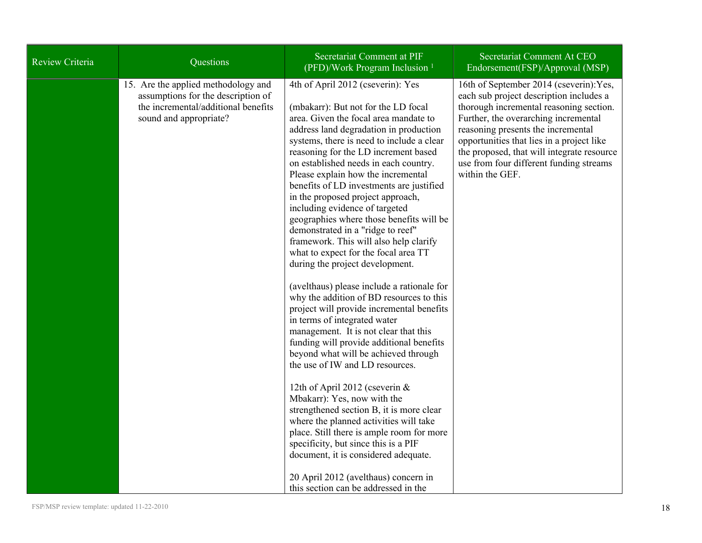| Review Criteria | Questions                                                                                                                                  | Secretariat Comment at PIF<br>(PFD)/Work Program Inclusion <sup>1</sup>                                                                                                                                                                                                                                                                                                                                                                                                                                                                                                                                                                                                                                                                                                                                                                                                                                                                                                                                                                                                                                                                                                                                                                                                                                                                                             | Secretariat Comment At CEO<br>Endorsement(FSP)/Approval (MSP)                                                                                                                                                                                                                                                                                                        |
|-----------------|--------------------------------------------------------------------------------------------------------------------------------------------|---------------------------------------------------------------------------------------------------------------------------------------------------------------------------------------------------------------------------------------------------------------------------------------------------------------------------------------------------------------------------------------------------------------------------------------------------------------------------------------------------------------------------------------------------------------------------------------------------------------------------------------------------------------------------------------------------------------------------------------------------------------------------------------------------------------------------------------------------------------------------------------------------------------------------------------------------------------------------------------------------------------------------------------------------------------------------------------------------------------------------------------------------------------------------------------------------------------------------------------------------------------------------------------------------------------------------------------------------------------------|----------------------------------------------------------------------------------------------------------------------------------------------------------------------------------------------------------------------------------------------------------------------------------------------------------------------------------------------------------------------|
|                 | 15. Are the applied methodology and<br>assumptions for the description of<br>the incremental/additional benefits<br>sound and appropriate? | 4th of April 2012 (cseverin): Yes<br>(mbakarr): But not for the LD focal<br>area. Given the focal area mandate to<br>address land degradation in production<br>systems, there is need to include a clear<br>reasoning for the LD increment based<br>on established needs in each country.<br>Please explain how the incremental<br>benefits of LD investments are justified<br>in the proposed project approach,<br>including evidence of targeted<br>geographies where those benefits will be<br>demonstrated in a "ridge to reef"<br>framework. This will also help clarify<br>what to expect for the focal area TT<br>during the project development.<br>(avelthaus) please include a rationale for<br>why the addition of BD resources to this<br>project will provide incremental benefits<br>in terms of integrated water<br>management. It is not clear that this<br>funding will provide additional benefits<br>beyond what will be achieved through<br>the use of IW and LD resources.<br>12th of April 2012 (cseverin &<br>Mbakarr): Yes, now with the<br>strengthened section B, it is more clear<br>where the planned activities will take<br>place. Still there is ample room for more<br>specificity, but since this is a PIF<br>document, it is considered adequate.<br>20 April 2012 (avelthaus) concern in<br>this section can be addressed in the | 16th of September 2014 (cseverin): Yes,<br>each sub project description includes a<br>thorough incremental reasoning section.<br>Further, the overarching incremental<br>reasoning presents the incremental<br>opportunities that lies in a project like<br>the proposed, that will integrate resource<br>use from four different funding streams<br>within the GEF. |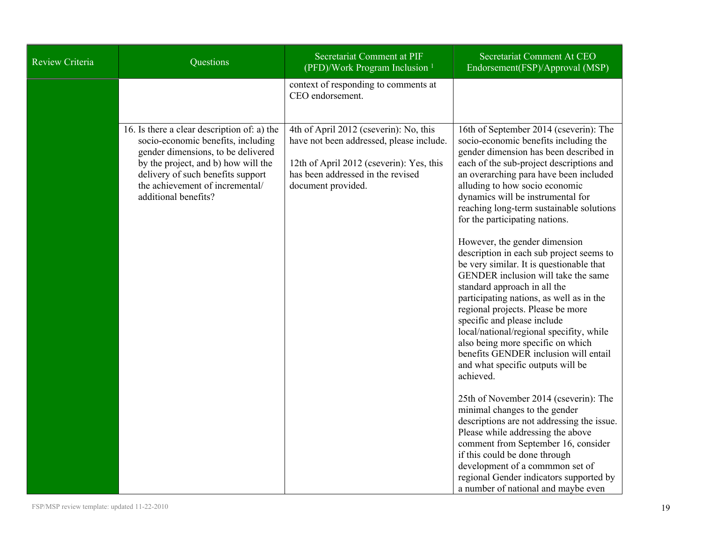| Review Criteria | Questions                                                                                                                                                                                                                                                      | Secretariat Comment at PIF<br>(PFD)/Work Program Inclusion <sup>1</sup>                                                                                                                   | <b>Secretariat Comment At CEO</b><br>Endorsement(FSP)/Approval (MSP)                                                                                                                                                                                                                                                                                                                                                                                                                                                                                                                                                                                                                                                                                                                                                                                                                                      |
|-----------------|----------------------------------------------------------------------------------------------------------------------------------------------------------------------------------------------------------------------------------------------------------------|-------------------------------------------------------------------------------------------------------------------------------------------------------------------------------------------|-----------------------------------------------------------------------------------------------------------------------------------------------------------------------------------------------------------------------------------------------------------------------------------------------------------------------------------------------------------------------------------------------------------------------------------------------------------------------------------------------------------------------------------------------------------------------------------------------------------------------------------------------------------------------------------------------------------------------------------------------------------------------------------------------------------------------------------------------------------------------------------------------------------|
|                 |                                                                                                                                                                                                                                                                | context of responding to comments at<br>CEO endorsement.                                                                                                                                  |                                                                                                                                                                                                                                                                                                                                                                                                                                                                                                                                                                                                                                                                                                                                                                                                                                                                                                           |
|                 | 16. Is there a clear description of: a) the<br>socio-economic benefits, including<br>gender dimensions, to be delivered<br>by the project, and b) how will the<br>delivery of such benefits support<br>the achievement of incremental/<br>additional benefits? | 4th of April 2012 (cseverin): No, this<br>have not been addressed, please include.<br>12th of April 2012 (cseverin): Yes, this<br>has been addressed in the revised<br>document provided. | 16th of September 2014 (cseverin): The<br>socio-economic benefits including the<br>gender dimension has been described in<br>each of the sub-project descriptions and<br>an overarching para have been included<br>alluding to how socio economic<br>dynamics will be instrumental for<br>reaching long-term sustainable solutions<br>for the participating nations.<br>However, the gender dimension<br>description in each sub project seems to<br>be very similar. It is questionable that<br>GENDER inclusion will take the same<br>standard approach in all the<br>participating nations, as well as in the<br>regional projects. Please be more<br>specific and please include<br>local/national/regional specifity, while<br>also being more specific on which<br>benefits GENDER inclusion will entail<br>and what specific outputs will be<br>achieved.<br>25th of November 2014 (cseverin): The |
|                 |                                                                                                                                                                                                                                                                |                                                                                                                                                                                           | minimal changes to the gender<br>descriptions are not addressing the issue.<br>Please while addressing the above<br>comment from September 16, consider<br>if this could be done through                                                                                                                                                                                                                                                                                                                                                                                                                                                                                                                                                                                                                                                                                                                  |
|                 |                                                                                                                                                                                                                                                                |                                                                                                                                                                                           | development of a commmon set of<br>regional Gender indicators supported by<br>a number of national and maybe even                                                                                                                                                                                                                                                                                                                                                                                                                                                                                                                                                                                                                                                                                                                                                                                         |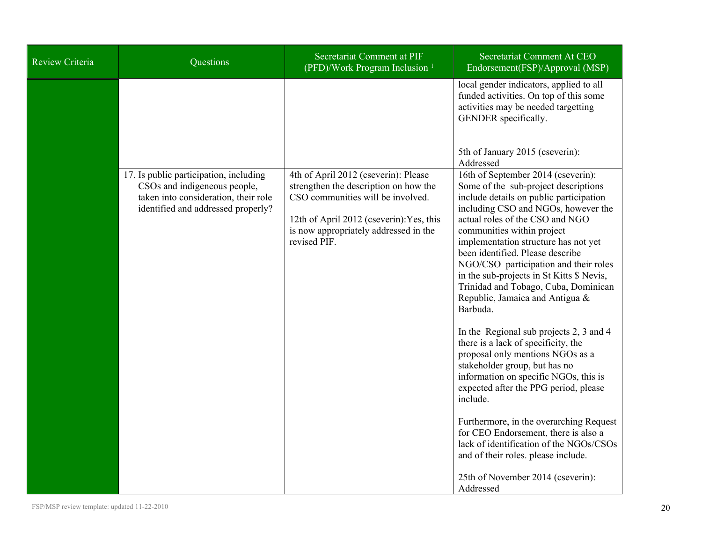| Review Criteria<br>Questions                                                                                                                         | Secretariat Comment at PIF<br>(PFD)/Work Program Inclusion <sup>1</sup>                                                                                                                                                 | Secretariat Comment At CEO<br>Endorsement(FSP)/Approval (MSP)                                                                                                                                                                                                                                                                                                                                                                                                                                                                                                                                                                                                                                                                                                                                                                                                                                                                                         |
|------------------------------------------------------------------------------------------------------------------------------------------------------|-------------------------------------------------------------------------------------------------------------------------------------------------------------------------------------------------------------------------|-------------------------------------------------------------------------------------------------------------------------------------------------------------------------------------------------------------------------------------------------------------------------------------------------------------------------------------------------------------------------------------------------------------------------------------------------------------------------------------------------------------------------------------------------------------------------------------------------------------------------------------------------------------------------------------------------------------------------------------------------------------------------------------------------------------------------------------------------------------------------------------------------------------------------------------------------------|
|                                                                                                                                                      |                                                                                                                                                                                                                         | local gender indicators, applied to all<br>funded activities. On top of this some<br>activities may be needed targetting<br>GENDER specifically.                                                                                                                                                                                                                                                                                                                                                                                                                                                                                                                                                                                                                                                                                                                                                                                                      |
|                                                                                                                                                      |                                                                                                                                                                                                                         | 5th of January 2015 (cseverin):<br>Addressed                                                                                                                                                                                                                                                                                                                                                                                                                                                                                                                                                                                                                                                                                                                                                                                                                                                                                                          |
| 17. Is public participation, including<br>CSOs and indigeneous people,<br>taken into consideration, their role<br>identified and addressed properly? | 4th of April 2012 (cseverin): Please<br>strengthen the description on how the<br>CSO communities will be involved.<br>12th of April 2012 (cseverin): Yes, this<br>is now appropriately addressed in the<br>revised PIF. | 16th of September 2014 (cseverin):<br>Some of the sub-project descriptions<br>include details on public participation<br>including CSO and NGOs, however the<br>actual roles of the CSO and NGO<br>communities within project<br>implementation structure has not yet<br>been identified. Please describe<br>NGO/CSO participation and their roles<br>in the sub-projects in St Kitts \$ Nevis,<br>Trinidad and Tobago, Cuba, Dominican<br>Republic, Jamaica and Antigua &<br>Barbuda.<br>In the Regional sub projects 2, 3 and 4<br>there is a lack of specificity, the<br>proposal only mentions NGOs as a<br>stakeholder group, but has no<br>information on specific NGOs, this is<br>expected after the PPG period, please<br>include.<br>Furthermore, in the overarching Request<br>for CEO Endorsement, there is also a<br>lack of identification of the NGOs/CSOs<br>and of their roles. please include.<br>25th of November 2014 (cseverin): |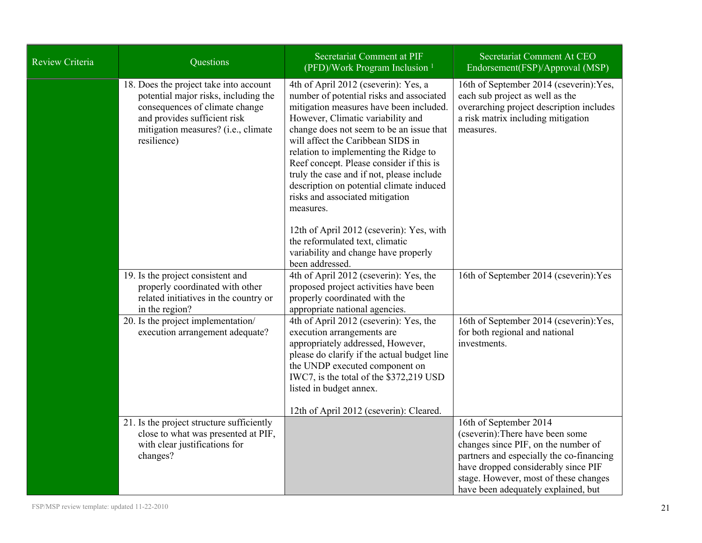| Review Criteria | Questions                                                                                                                                                                                              | Secretariat Comment at PIF<br>(PFD)/Work Program Inclusion <sup>1</sup>                                                                                                                                                                                                                                                                                                                                                                                                                                                                                                                                                   | Secretariat Comment At CEO<br>Endorsement(FSP)/Approval (MSP)                                                                                                                                                                                                        |
|-----------------|--------------------------------------------------------------------------------------------------------------------------------------------------------------------------------------------------------|---------------------------------------------------------------------------------------------------------------------------------------------------------------------------------------------------------------------------------------------------------------------------------------------------------------------------------------------------------------------------------------------------------------------------------------------------------------------------------------------------------------------------------------------------------------------------------------------------------------------------|----------------------------------------------------------------------------------------------------------------------------------------------------------------------------------------------------------------------------------------------------------------------|
|                 | 18. Does the project take into account<br>potential major risks, including the<br>consequences of climate change<br>and provides sufficient risk<br>mitigation measures? (i.e., climate<br>resilience) | 4th of April 2012 (cseverin): Yes, a<br>number of potential risks and associated<br>mitigation measures have been included.<br>However, Climatic variability and<br>change does not seem to be an issue that<br>will affect the Caribbean SIDS in<br>relation to implementing the Ridge to<br>Reef concept. Please consider if this is<br>truly the case and if not, please include<br>description on potential climate induced<br>risks and associated mitigation<br>measures.<br>12th of April 2012 (cseverin): Yes, with<br>the reformulated text, climatic<br>variability and change have properly<br>been addressed. | 16th of September 2014 (cseverin): Yes,<br>each sub project as well as the<br>overarching project description includes<br>a risk matrix including mitigation<br>measures.                                                                                            |
|                 | 19. Is the project consistent and<br>properly coordinated with other<br>related initiatives in the country or<br>in the region?                                                                        | 4th of April 2012 (cseverin): Yes, the<br>proposed project activities have been<br>properly coordinated with the<br>appropriate national agencies.                                                                                                                                                                                                                                                                                                                                                                                                                                                                        | 16th of September 2014 (cseverin): Yes                                                                                                                                                                                                                               |
|                 | 20. Is the project implementation/<br>execution arrangement adequate?                                                                                                                                  | 4th of April 2012 (cseverin): Yes, the<br>execution arrangements are<br>appropriately addressed, However,<br>please do clarify if the actual budget line<br>the UNDP executed component on<br>IWC7, is the total of the \$372,219 USD<br>listed in budget annex.<br>12th of April 2012 (cseverin): Cleared.                                                                                                                                                                                                                                                                                                               | 16th of September 2014 (cseverin): Yes,<br>for both regional and national<br>investments.                                                                                                                                                                            |
|                 | 21. Is the project structure sufficiently<br>close to what was presented at PIF,<br>with clear justifications for<br>changes?                                                                          |                                                                                                                                                                                                                                                                                                                                                                                                                                                                                                                                                                                                                           | 16th of September 2014<br>(cseverin): There have been some<br>changes since PIF, on the number of<br>partners and especially the co-financing<br>have dropped considerably since PIF<br>stage. However, most of these changes<br>have been adequately explained, but |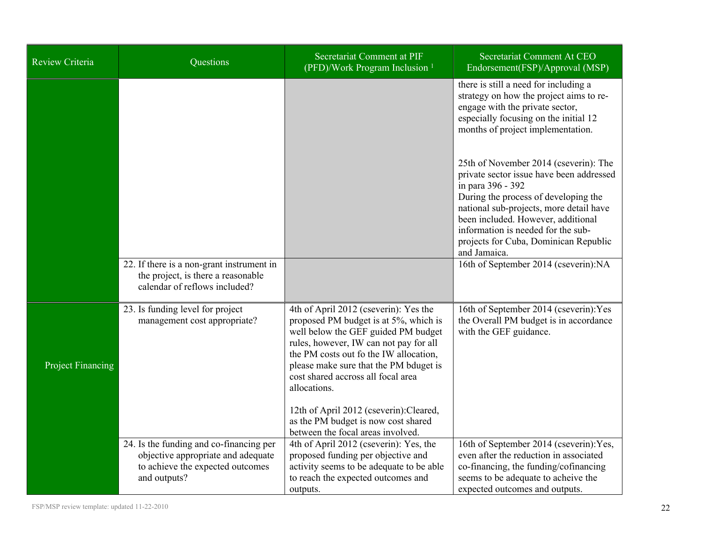| Review Criteria          | Questions                                                                                                                         | Secretariat Comment at PIF<br>(PFD)/Work Program Inclusion <sup>1</sup>                                                                                                                                                                                                                                                                              | Secretariat Comment At CEO<br>Endorsement(FSP)/Approval (MSP)                                                                                                                                                                                                                                                                  |
|--------------------------|-----------------------------------------------------------------------------------------------------------------------------------|------------------------------------------------------------------------------------------------------------------------------------------------------------------------------------------------------------------------------------------------------------------------------------------------------------------------------------------------------|--------------------------------------------------------------------------------------------------------------------------------------------------------------------------------------------------------------------------------------------------------------------------------------------------------------------------------|
|                          |                                                                                                                                   |                                                                                                                                                                                                                                                                                                                                                      | there is still a need for including a<br>strategy on how the project aims to re-<br>engage with the private sector,<br>especially focusing on the initial 12<br>months of project implementation.                                                                                                                              |
|                          |                                                                                                                                   |                                                                                                                                                                                                                                                                                                                                                      | 25th of November 2014 (cseverin): The<br>private sector issue have been addressed<br>in para 396 - 392<br>During the process of developing the<br>national sub-projects, more detail have<br>been included. However, additional<br>information is needed for the sub-<br>projects for Cuba, Dominican Republic<br>and Jamaica. |
|                          | 22. If there is a non-grant instrument in<br>the project, is there a reasonable<br>calendar of reflows included?                  |                                                                                                                                                                                                                                                                                                                                                      | 16th of September 2014 (cseverin):NA                                                                                                                                                                                                                                                                                           |
| <b>Project Financing</b> | 23. Is funding level for project<br>management cost appropriate?                                                                  | 4th of April 2012 (cseverin): Yes the<br>proposed PM budget is at 5%, which is<br>well below the GEF guided PM budget<br>rules, however, IW can not pay for all<br>the PM costs out fo the IW allocation,<br>please make sure that the PM bduget is<br>cost shared accross all focal area<br>allocations.<br>12th of April 2012 (cseverin): Cleared, | 16th of September 2014 (cseverin): Yes<br>the Overall PM budget is in accordance<br>with the GEF guidance.                                                                                                                                                                                                                     |
|                          |                                                                                                                                   | as the PM budget is now cost shared<br>between the focal areas involved.                                                                                                                                                                                                                                                                             |                                                                                                                                                                                                                                                                                                                                |
|                          | 24. Is the funding and co-financing per<br>objective appropriate and adequate<br>to achieve the expected outcomes<br>and outputs? | 4th of April 2012 (cseverin): Yes, the<br>proposed funding per objective and<br>activity seems to be adequate to be able<br>to reach the expected outcomes and<br>outputs.                                                                                                                                                                           | 16th of September 2014 (cseverin): Yes,<br>even after the reduction in associated<br>co-financing, the funding/cofinancing<br>seems to be adequate to acheive the<br>expected outcomes and outputs.                                                                                                                            |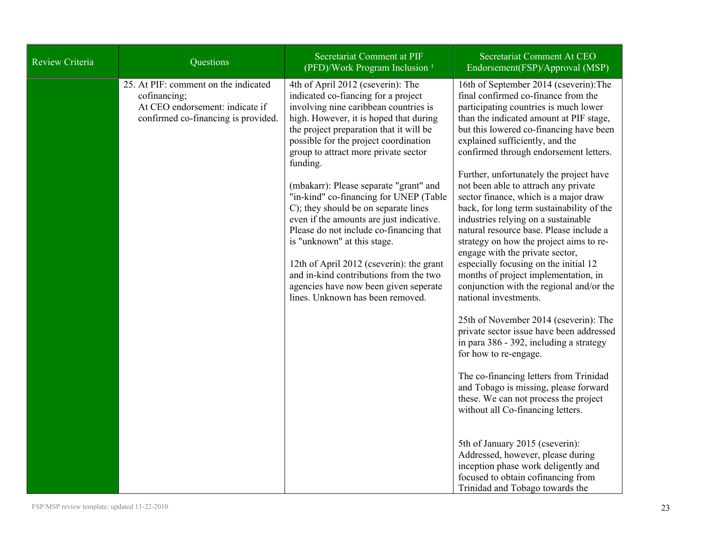| <b>Review Criteria</b> | Questions                                                                                                                      | Secretariat Comment at PIF<br>(PFD)/Work Program Inclusion <sup>1</sup>                                                                                                                                                                                                                                                                                                                                                                                                                                                                                                                                                                                                                                                  | Secretariat Comment At CEO<br>Endorsement(FSP)/Approval (MSP)                                                                                                                                                                                                                                                                                                                                                                                                                                                                                                                                                                                                                                                                                                                                                                                                                                                                                                                                                                                                                                                                                                                                                                                                                                              |
|------------------------|--------------------------------------------------------------------------------------------------------------------------------|--------------------------------------------------------------------------------------------------------------------------------------------------------------------------------------------------------------------------------------------------------------------------------------------------------------------------------------------------------------------------------------------------------------------------------------------------------------------------------------------------------------------------------------------------------------------------------------------------------------------------------------------------------------------------------------------------------------------------|------------------------------------------------------------------------------------------------------------------------------------------------------------------------------------------------------------------------------------------------------------------------------------------------------------------------------------------------------------------------------------------------------------------------------------------------------------------------------------------------------------------------------------------------------------------------------------------------------------------------------------------------------------------------------------------------------------------------------------------------------------------------------------------------------------------------------------------------------------------------------------------------------------------------------------------------------------------------------------------------------------------------------------------------------------------------------------------------------------------------------------------------------------------------------------------------------------------------------------------------------------------------------------------------------------|
|                        | 25. At PIF: comment on the indicated<br>cofinancing;<br>At CEO endorsement: indicate if<br>confirmed co-financing is provided. | 4th of April 2012 (cseverin): The<br>indicated co-fiancing for a project<br>involving nine caribbean countries is<br>high. However, it is hoped that during<br>the project preparation that it will be<br>possible for the project coordination<br>group to attract more private sector<br>funding.<br>(mbakarr): Please separate "grant" and<br>"in-kind" co-financing for UNEP (Table<br>C); they should be on separate lines<br>even if the amounts are just indicative.<br>Please do not include co-financing that<br>is "unknown" at this stage.<br>12th of April 2012 (cseverin): the grant<br>and in-kind contributions from the two<br>agencies have now been given seperate<br>lines. Unknown has been removed. | 16th of September 2014 (cseverin): The<br>final confirmed co-finance from the<br>participating countries is much lower<br>than the indicated amount at PIF stage,<br>but this lowered co-financing have been<br>explained sufficiently, and the<br>confirmed through endorsement letters.<br>Further, unfortunately the project have<br>not been able to attrach any private<br>sector finance, which is a major draw<br>back, for long term sustainability of the<br>industries relying on a sustainable<br>natural resource base. Please include a<br>strategy on how the project aims to re-<br>engage with the private sector,<br>especially focusing on the initial 12<br>months of project implementation, in<br>conjunction with the regional and/or the<br>national investments.<br>25th of November 2014 (cseverin): The<br>private sector issue have been addressed<br>in para 386 - 392, including a strategy<br>for how to re-engage.<br>The co-financing letters from Trinidad<br>and Tobago is missing, please forward<br>these. We can not process the project<br>without all Co-financing letters.<br>5th of January 2015 (cseverin):<br>Addressed, however, please during<br>inception phase work deligently and<br>focused to obtain cofinancing from<br>Trinidad and Tobago towards the |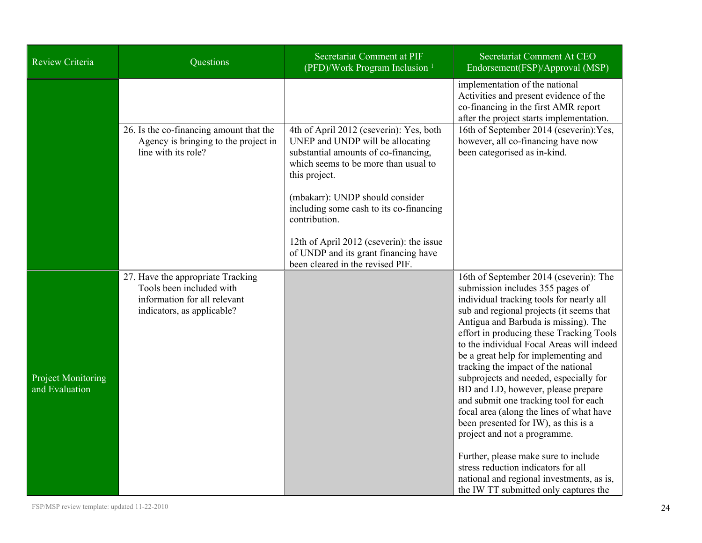| Review Criteria                             | Questions                                                                                                                   | Secretariat Comment at PIF<br>(PFD)/Work Program Inclusion <sup>1</sup>                                                                                                                                                                                                                                                                                                                             | Secretariat Comment At CEO<br>Endorsement(FSP)/Approval (MSP)                                                                                                                                                                                                                                                                                                                                                                                                                                                                                                                                                                                                                                                                                                                                        |
|---------------------------------------------|-----------------------------------------------------------------------------------------------------------------------------|-----------------------------------------------------------------------------------------------------------------------------------------------------------------------------------------------------------------------------------------------------------------------------------------------------------------------------------------------------------------------------------------------------|------------------------------------------------------------------------------------------------------------------------------------------------------------------------------------------------------------------------------------------------------------------------------------------------------------------------------------------------------------------------------------------------------------------------------------------------------------------------------------------------------------------------------------------------------------------------------------------------------------------------------------------------------------------------------------------------------------------------------------------------------------------------------------------------------|
|                                             | 26. Is the co-financing amount that the<br>Agency is bringing to the project in<br>line with its role?                      | 4th of April 2012 (cseverin): Yes, both<br>UNEP and UNDP will be allocating<br>substantial amounts of co-financing,<br>which seems to be more than usual to<br>this project.<br>(mbakarr): UNDP should consider<br>including some cash to its co-financing<br>contribution.<br>12th of April 2012 (cseverin): the issue<br>of UNDP and its grant financing have<br>been cleared in the revised PIF. | implementation of the national<br>Activities and present evidence of the<br>co-financing in the first AMR report<br>after the project starts implementation.<br>16th of September 2014 (cseverin): Yes,<br>however, all co-financing have now<br>been categorised as in-kind.                                                                                                                                                                                                                                                                                                                                                                                                                                                                                                                        |
| <b>Project Monitoring</b><br>and Evaluation | 27. Have the appropriate Tracking<br>Tools been included with<br>information for all relevant<br>indicators, as applicable? |                                                                                                                                                                                                                                                                                                                                                                                                     | 16th of September 2014 (cseverin): The<br>submission includes 355 pages of<br>individual tracking tools for nearly all<br>sub and regional projects (it seems that<br>Antigua and Barbuda is missing). The<br>effort in producing these Tracking Tools<br>to the individual Focal Areas will indeed<br>be a great help for implementing and<br>tracking the impact of the national<br>subprojects and needed, especially for<br>BD and LD, however, please prepare<br>and submit one tracking tool for each<br>focal area (along the lines of what have<br>been presented for IW), as this is a<br>project and not a programme.<br>Further, please make sure to include<br>stress reduction indicators for all<br>national and regional investments, as is,<br>the IW TT submitted only captures the |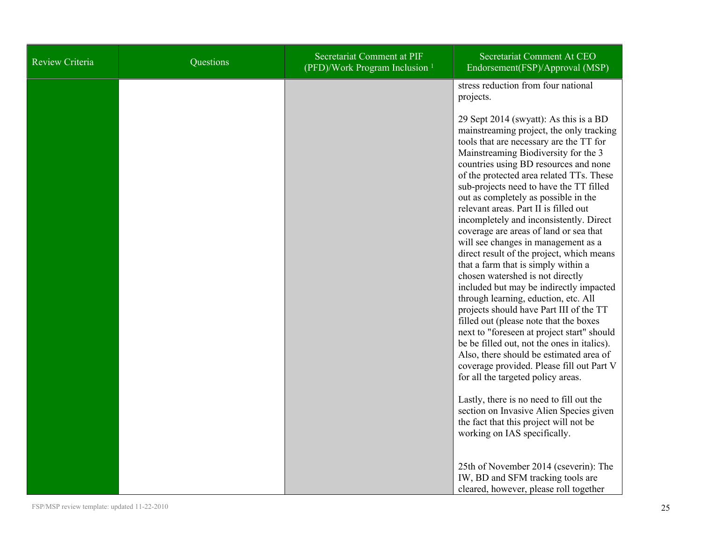| Review Criteria | Questions | <b>Secretariat Comment at PIF</b><br>(PFD)/Work Program Inclusion <sup>1</sup> | Secretariat Comment At CEO<br>Endorsement(FSP)/Approval (MSP)                                                                                                                                                                                                                                                                                                                                                                                                                                                                                                                                                                                                                                                                                                                                                                                                                                                                                                                                                                                 |
|-----------------|-----------|--------------------------------------------------------------------------------|-----------------------------------------------------------------------------------------------------------------------------------------------------------------------------------------------------------------------------------------------------------------------------------------------------------------------------------------------------------------------------------------------------------------------------------------------------------------------------------------------------------------------------------------------------------------------------------------------------------------------------------------------------------------------------------------------------------------------------------------------------------------------------------------------------------------------------------------------------------------------------------------------------------------------------------------------------------------------------------------------------------------------------------------------|
|                 |           |                                                                                | stress reduction from four national<br>projects.                                                                                                                                                                                                                                                                                                                                                                                                                                                                                                                                                                                                                                                                                                                                                                                                                                                                                                                                                                                              |
|                 |           |                                                                                | 29 Sept 2014 (swyatt): As this is a BD<br>mainstreaming project, the only tracking<br>tools that are necessary are the TT for<br>Mainstreaming Biodiversity for the 3<br>countries using BD resources and none<br>of the protected area related TTs. These<br>sub-projects need to have the TT filled<br>out as completely as possible in the<br>relevant areas. Part II is filled out<br>incompletely and inconsistently. Direct<br>coverage are areas of land or sea that<br>will see changes in management as a<br>direct result of the project, which means<br>that a farm that is simply within a<br>chosen watershed is not directly<br>included but may be indirectly impacted<br>through learning, eduction, etc. All<br>projects should have Part III of the TT<br>filled out (please note that the boxes<br>next to "foreseen at project start" should<br>be be filled out, not the ones in italics).<br>Also, there should be estimated area of<br>coverage provided. Please fill out Part V<br>for all the targeted policy areas. |
|                 |           |                                                                                | Lastly, there is no need to fill out the<br>section on Invasive Alien Species given<br>the fact that this project will not be<br>working on IAS specifically.                                                                                                                                                                                                                                                                                                                                                                                                                                                                                                                                                                                                                                                                                                                                                                                                                                                                                 |
|                 |           |                                                                                | 25th of November 2014 (cseverin): The<br>IW, BD and SFM tracking tools are<br>cleared, however, please roll together                                                                                                                                                                                                                                                                                                                                                                                                                                                                                                                                                                                                                                                                                                                                                                                                                                                                                                                          |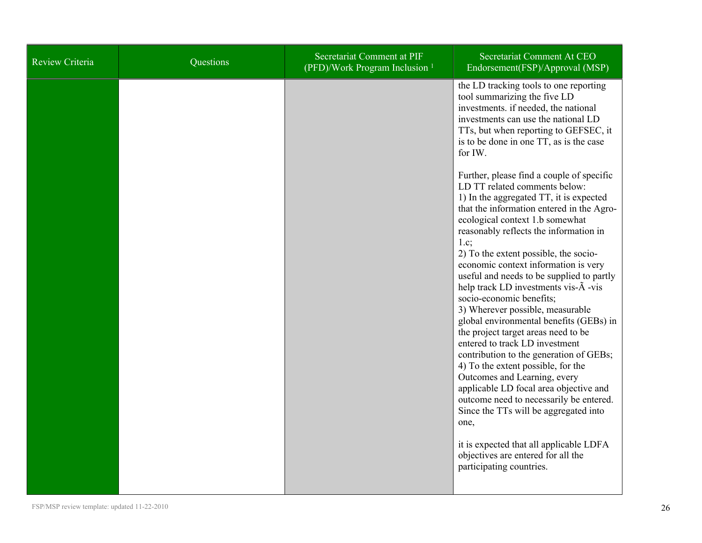| Review Criteria | Questions | <b>Secretariat Comment at PIF</b><br>(PFD)/Work Program Inclusion <sup>1</sup> | Secretariat Comment At CEO<br>Endorsement(FSP)/Approval (MSP)                                                                                                                                                                                                                                                                                                                                                                                                                                                                                                                                                                                                                                                                                                                                                                                                                                                                                                                                                                                                                                                                                                                                                                                            |
|-----------------|-----------|--------------------------------------------------------------------------------|----------------------------------------------------------------------------------------------------------------------------------------------------------------------------------------------------------------------------------------------------------------------------------------------------------------------------------------------------------------------------------------------------------------------------------------------------------------------------------------------------------------------------------------------------------------------------------------------------------------------------------------------------------------------------------------------------------------------------------------------------------------------------------------------------------------------------------------------------------------------------------------------------------------------------------------------------------------------------------------------------------------------------------------------------------------------------------------------------------------------------------------------------------------------------------------------------------------------------------------------------------|
|                 |           |                                                                                | the LD tracking tools to one reporting<br>tool summarizing the five LD<br>investments. if needed, the national<br>investments can use the national LD<br>TTs, but when reporting to GEFSEC, it<br>is to be done in one TT, as is the case<br>for IW.<br>Further, please find a couple of specific<br>LD TT related comments below:<br>1) In the aggregated TT, it is expected<br>that the information entered in the Agro-<br>ecological context 1.b somewhat<br>reasonably reflects the information in<br>1.c;<br>2) To the extent possible, the socio-<br>economic context information is very<br>useful and needs to be supplied to partly<br>help track LD investments vis- $\tilde{A}$ -vis<br>socio-economic benefits;<br>3) Wherever possible, measurable<br>global environmental benefits (GEBs) in<br>the project target areas need to be<br>entered to track LD investment<br>contribution to the generation of GEBs;<br>4) To the extent possible, for the<br>Outcomes and Learning, every<br>applicable LD focal area objective and<br>outcome need to necessarily be entered.<br>Since the TTs will be aggregated into<br>one,<br>it is expected that all applicable LDFA<br>objectives are entered for all the<br>participating countries. |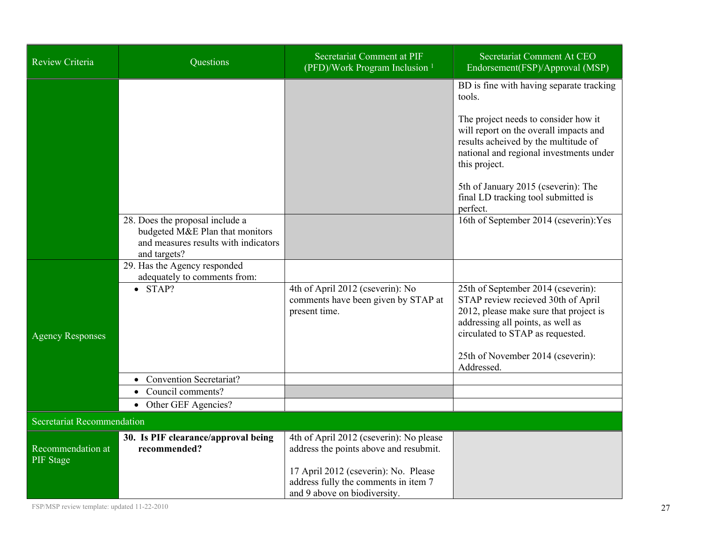| Review Criteria                       | Questions                                                                                                                  | Secretariat Comment at PIF<br>(PFD)/Work Program Inclusion <sup>1</sup>                                      | Secretariat Comment At CEO<br>Endorsement(FSP)/Approval (MSP)                                                                                                                               |
|---------------------------------------|----------------------------------------------------------------------------------------------------------------------------|--------------------------------------------------------------------------------------------------------------|---------------------------------------------------------------------------------------------------------------------------------------------------------------------------------------------|
|                                       |                                                                                                                            |                                                                                                              | BD is fine with having separate tracking<br>tools.                                                                                                                                          |
|                                       |                                                                                                                            |                                                                                                              | The project needs to consider how it<br>will report on the overall impacts and<br>results acheived by the multitude of<br>national and regional investments under<br>this project.          |
|                                       |                                                                                                                            |                                                                                                              | 5th of January 2015 (cseverin): The<br>final LD tracking tool submitted is<br>perfect.                                                                                                      |
|                                       | 28. Does the proposal include a<br>budgeted M&E Plan that monitors<br>and measures results with indicators<br>and targets? |                                                                                                              | 16th of September 2014 (cseverin): Yes                                                                                                                                                      |
|                                       | 29. Has the Agency responded<br>adequately to comments from:                                                               |                                                                                                              |                                                                                                                                                                                             |
| <b>Agency Responses</b>               | $\bullet$ STAP?                                                                                                            | 4th of April 2012 (cseverin): No<br>comments have been given by STAP at<br>present time.                     | 25th of September 2014 (cseverin):<br>STAP review recieved 30th of April<br>2012, please make sure that project is<br>addressing all points, as well as<br>circulated to STAP as requested. |
|                                       |                                                                                                                            |                                                                                                              | 25th of November 2014 (cseverin):<br>Addressed.                                                                                                                                             |
|                                       | <b>Convention Secretariat?</b>                                                                                             |                                                                                                              |                                                                                                                                                                                             |
|                                       | Council comments?                                                                                                          |                                                                                                              |                                                                                                                                                                                             |
|                                       | • Other GEF Agencies?                                                                                                      |                                                                                                              |                                                                                                                                                                                             |
| Secretariat Recommendation            |                                                                                                                            |                                                                                                              |                                                                                                                                                                                             |
| Recommendation at<br><b>PIF</b> Stage | 30. Is PIF clearance/approval being<br>recommended?                                                                        | 4th of April 2012 (cseverin): No please<br>address the points above and resubmit.                            |                                                                                                                                                                                             |
|                                       |                                                                                                                            | 17 April 2012 (cseverin): No. Please<br>address fully the comments in item 7<br>and 9 above on biodiversity. |                                                                                                                                                                                             |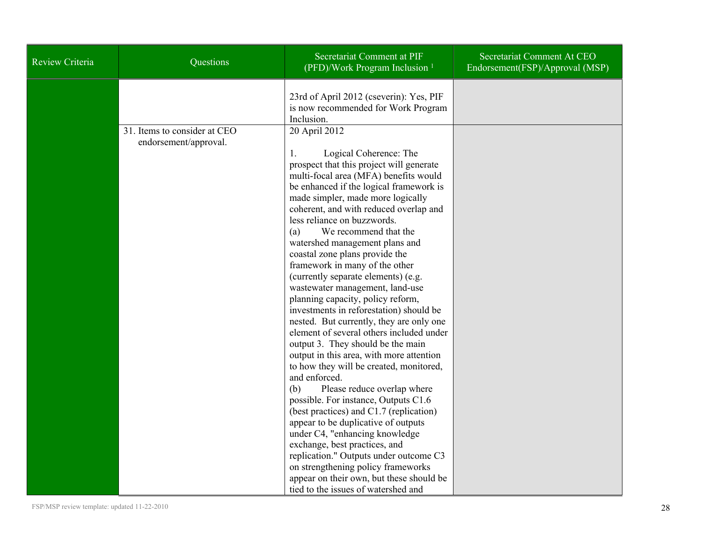| Review Criteria | Questions                                             | Secretariat Comment at PIF<br>(PFD)/Work Program Inclusion <sup>1</sup>                                                                                                                                                                                                                                                                                                                                                                                                                                                                                                                                                                                                                                                                                                                                                                                                                                                                                                                                                                                                                                                                              | Secretariat Comment At CEO<br>Endorsement(FSP)/Approval (MSP) |
|-----------------|-------------------------------------------------------|------------------------------------------------------------------------------------------------------------------------------------------------------------------------------------------------------------------------------------------------------------------------------------------------------------------------------------------------------------------------------------------------------------------------------------------------------------------------------------------------------------------------------------------------------------------------------------------------------------------------------------------------------------------------------------------------------------------------------------------------------------------------------------------------------------------------------------------------------------------------------------------------------------------------------------------------------------------------------------------------------------------------------------------------------------------------------------------------------------------------------------------------------|---------------------------------------------------------------|
|                 |                                                       | 23rd of April 2012 (cseverin): Yes, PIF<br>is now recommended for Work Program<br>Inclusion.                                                                                                                                                                                                                                                                                                                                                                                                                                                                                                                                                                                                                                                                                                                                                                                                                                                                                                                                                                                                                                                         |                                                               |
|                 | 31. Items to consider at CEO<br>endorsement/approval. | 20 April 2012<br>Logical Coherence: The<br>1.<br>prospect that this project will generate<br>multi-focal area (MFA) benefits would<br>be enhanced if the logical framework is<br>made simpler, made more logically<br>coherent, and with reduced overlap and<br>less reliance on buzzwords.<br>We recommend that the<br>(a)<br>watershed management plans and<br>coastal zone plans provide the<br>framework in many of the other<br>(currently separate elements) (e.g.<br>wastewater management, land-use<br>planning capacity, policy reform,<br>investments in reforestation) should be<br>nested. But currently, they are only one<br>element of several others included under<br>output 3. They should be the main<br>output in this area, with more attention<br>to how they will be created, monitored,<br>and enforced.<br>(b)<br>Please reduce overlap where<br>possible. For instance, Outputs C1.6<br>(best practices) and C1.7 (replication)<br>appear to be duplicative of outputs<br>under C4, "enhancing knowledge"<br>exchange, best practices, and<br>replication." Outputs under outcome C3<br>on strengthening policy frameworks |                                                               |
|                 |                                                       | appear on their own, but these should be<br>tied to the issues of watershed and                                                                                                                                                                                                                                                                                                                                                                                                                                                                                                                                                                                                                                                                                                                                                                                                                                                                                                                                                                                                                                                                      |                                                               |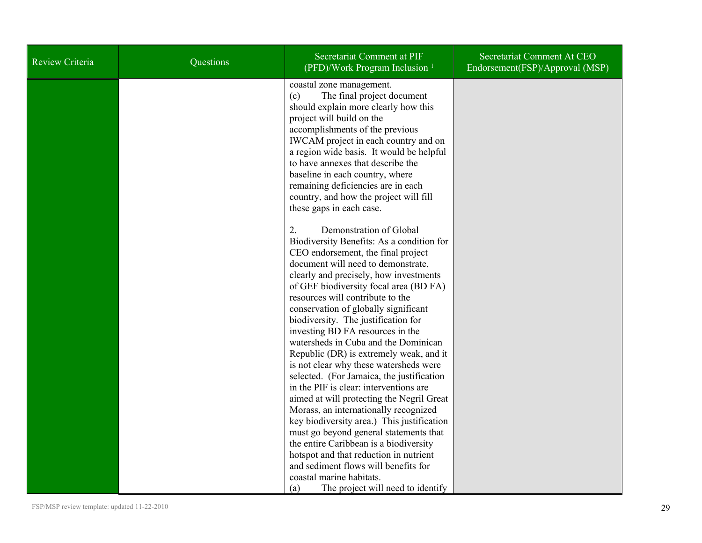| <b>Review Criteria</b> | Questions | Secretariat Comment at PIF<br>(PFD)/Work Program Inclusion <sup>1</sup>                                                                                                                                                                                                                                                                                                                                                                                                                                                                                                     | Secretariat Comment At CEO<br>Endorsement(FSP)/Approval (MSP) |
|------------------------|-----------|-----------------------------------------------------------------------------------------------------------------------------------------------------------------------------------------------------------------------------------------------------------------------------------------------------------------------------------------------------------------------------------------------------------------------------------------------------------------------------------------------------------------------------------------------------------------------------|---------------------------------------------------------------|
|                        |           | coastal zone management.<br>The final project document<br>(c)<br>should explain more clearly how this<br>project will build on the<br>accomplishments of the previous<br>IWCAM project in each country and on<br>a region wide basis. It would be helpful<br>to have annexes that describe the<br>baseline in each country, where<br>remaining deficiencies are in each<br>country, and how the project will fill<br>these gaps in each case.                                                                                                                               |                                                               |
|                        |           | 2.<br>Demonstration of Global<br>Biodiversity Benefits: As a condition for<br>CEO endorsement, the final project<br>document will need to demonstrate,<br>clearly and precisely, how investments<br>of GEF biodiversity focal area (BD FA)<br>resources will contribute to the<br>conservation of globally significant<br>biodiversity. The justification for<br>investing BD FA resources in the<br>watersheds in Cuba and the Dominican<br>Republic (DR) is extremely weak, and it<br>is not clear why these watersheds were<br>selected. (For Jamaica, the justification |                                                               |
|                        |           | in the PIF is clear: interventions are<br>aimed at will protecting the Negril Great<br>Morass, an internationally recognized<br>key biodiversity area.) This justification<br>must go beyond general statements that<br>the entire Caribbean is a biodiversity<br>hotspot and that reduction in nutrient<br>and sediment flows will benefits for<br>coastal marine habitats.<br>The project will need to identify<br>(a)                                                                                                                                                    |                                                               |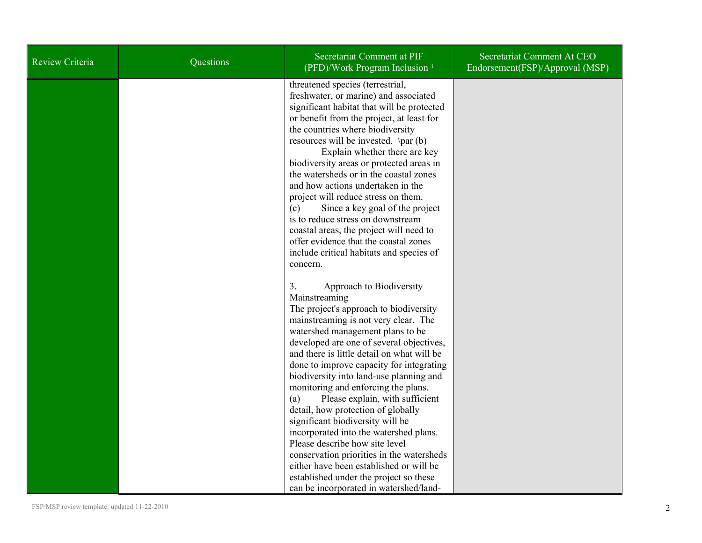| Review Criteria | Questions | Secretariat Comment at PIF<br>(PFD)/Work Program Inclusion <sup>1</sup>                                                                                                                                                                                                                                                                                                                                                                                                                                                                                                                                                                                                                                                                                                   | Secretariat Comment At CEO<br>Endorsement(FSP)/Approval (MSP) |
|-----------------|-----------|---------------------------------------------------------------------------------------------------------------------------------------------------------------------------------------------------------------------------------------------------------------------------------------------------------------------------------------------------------------------------------------------------------------------------------------------------------------------------------------------------------------------------------------------------------------------------------------------------------------------------------------------------------------------------------------------------------------------------------------------------------------------------|---------------------------------------------------------------|
|                 |           | threatened species (terrestrial,<br>freshwater, or marine) and associated<br>significant habitat that will be protected<br>or benefit from the project, at least for<br>the countries where biodiversity<br>resources will be invested. $\parrow$ par (b)<br>Explain whether there are key<br>biodiversity areas or protected areas in<br>the watersheds or in the coastal zones<br>and how actions undertaken in the<br>project will reduce stress on them.<br>Since a key goal of the project<br>(c)<br>is to reduce stress on downstream<br>coastal areas, the project will need to<br>offer evidence that the coastal zones<br>include critical habitats and species of<br>concern.                                                                                   |                                                               |
|                 |           | 3.<br>Approach to Biodiversity<br>Mainstreaming<br>The project's approach to biodiversity<br>mainstreaming is not very clear. The<br>watershed management plans to be<br>developed are one of several objectives,<br>and there is little detail on what will be<br>done to improve capacity for integrating<br>biodiversity into land-use planning and<br>monitoring and enforcing the plans.<br>Please explain, with sufficient<br>(a)<br>detail, how protection of globally<br>significant biodiversity will be<br>incorporated into the watershed plans.<br>Please describe how site level<br>conservation priorities in the watersheds<br>either have been established or will be<br>established under the project so these<br>can be incorporated in watershed/land- |                                                               |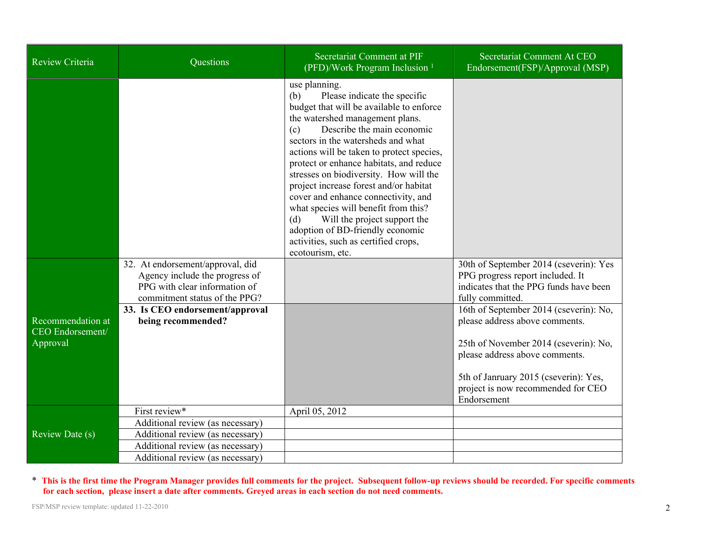| Review Criteria                                   | Questions                                                                                                                            | Secretariat Comment at PIF<br>(PFD)/Work Program Inclusion <sup>1</sup>                                                                                                                                                                                                                                                                                                                                                                                                                                                                                                                                          | Secretariat Comment At CEO<br>Endorsement(FSP)/Approval (MSP)                                                                                                                                                                                     |
|---------------------------------------------------|--------------------------------------------------------------------------------------------------------------------------------------|------------------------------------------------------------------------------------------------------------------------------------------------------------------------------------------------------------------------------------------------------------------------------------------------------------------------------------------------------------------------------------------------------------------------------------------------------------------------------------------------------------------------------------------------------------------------------------------------------------------|---------------------------------------------------------------------------------------------------------------------------------------------------------------------------------------------------------------------------------------------------|
|                                                   |                                                                                                                                      | use planning.<br>Please indicate the specific<br>(b)<br>budget that will be available to enforce<br>the watershed management plans.<br>Describe the main economic<br>(c)<br>sectors in the watersheds and what<br>actions will be taken to protect species,<br>protect or enhance habitats, and reduce<br>stresses on biodiversity. How will the<br>project increase forest and/or habitat<br>cover and enhance connectivity, and<br>what species will benefit from this?<br>Will the project support the<br>(d)<br>adoption of BD-friendly economic<br>activities, such as certified crops,<br>ecotourism, etc. |                                                                                                                                                                                                                                                   |
|                                                   | 32. At endorsement/approval, did<br>Agency include the progress of<br>PPG with clear information of<br>commitment status of the PPG? |                                                                                                                                                                                                                                                                                                                                                                                                                                                                                                                                                                                                                  | 30th of September 2014 (cseverin): Yes<br>PPG progress report included. It<br>indicates that the PPG funds have been<br>fully committed.                                                                                                          |
| Recommendation at<br>CEO Endorsement/<br>Approval | 33. Is CEO endorsement/approval<br>being recommended?                                                                                |                                                                                                                                                                                                                                                                                                                                                                                                                                                                                                                                                                                                                  | 16th of September 2014 (cseverin): No,<br>please address above comments.<br>25th of November 2014 (cseverin): No,<br>please address above comments.<br>5th of Janruary 2015 (cseverin): Yes,<br>project is now recommended for CEO<br>Endorsement |
| Review Date (s)                                   | First review*                                                                                                                        | April 05, 2012                                                                                                                                                                                                                                                                                                                                                                                                                                                                                                                                                                                                   |                                                                                                                                                                                                                                                   |
|                                                   | Additional review (as necessary)                                                                                                     |                                                                                                                                                                                                                                                                                                                                                                                                                                                                                                                                                                                                                  |                                                                                                                                                                                                                                                   |
|                                                   | Additional review (as necessary)                                                                                                     |                                                                                                                                                                                                                                                                                                                                                                                                                                                                                                                                                                                                                  |                                                                                                                                                                                                                                                   |
|                                                   | Additional review (as necessary)                                                                                                     |                                                                                                                                                                                                                                                                                                                                                                                                                                                                                                                                                                                                                  |                                                                                                                                                                                                                                                   |
|                                                   | Additional review (as necessary)                                                                                                     |                                                                                                                                                                                                                                                                                                                                                                                                                                                                                                                                                                                                                  |                                                                                                                                                                                                                                                   |

\* This is the first time the Program Manager provides full comments for the project. Subsequent follow-up reviews should be recorded. For specific comments for each section, please insert a date after comments. Greyed areas in each section do not need comments.